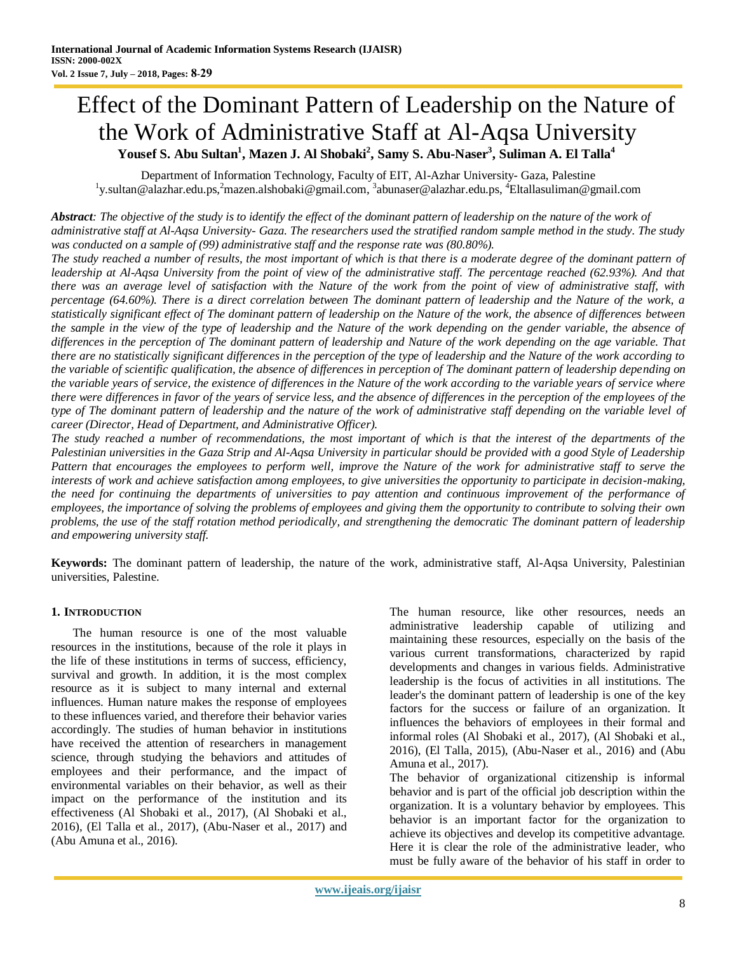# Effect of the Dominant Pattern of Leadership on the Nature of the Work of Administrative Staff at Al-Aqsa University **Yousef S. Abu Sultan<sup>1</sup> , Mazen J. Al Shobaki<sup>2</sup> , Samy S. Abu-Naser<sup>3</sup> , Suliman A. El Talla<sup>4</sup>**

Department of Information Technology, Faculty of EIT, Al-Azhar University- Gaza, Palestine <sup>1</sup>y.sultan@alazhar.edu.ps,<sup>2</sup>mazen.alshobaki@gmail.com,<sup>3</sup>[abunaser@alazhar.edu.ps,](mailto:3abunaser@alazhar.edu.ps)<sup>4</sup>Eltallasuliman@gmail.com

*Abstract: The objective of the study is to identify the effect of the dominant pattern of leadership on the nature of the work of administrative staff at Al-Aqsa University- Gaza. The researchers used the stratified random sample method in the study. The study was conducted on a sample of (99) administrative staff and the response rate was (80.80%).*

*The study reached a number of results, the most important of which is that there is a moderate degree of the dominant pattern of leadership at Al-Aqsa University from the point of view of the administrative staff. The percentage reached (62.93%). And that there was an average level of satisfaction with the Nature of the work from the point of view of administrative staff, with percentage (64.60%). There is a direct correlation between The dominant pattern of leadership and the Nature of the work, a statistically significant effect of The dominant pattern of leadership on the Nature of the work, the absence of differences between the sample in the view of the type of leadership and the Nature of the work depending on the gender variable, the absence of differences in the perception of The dominant pattern of leadership and Nature of the work depending on the age variable. That there are no statistically significant differences in the perception of the type of leadership and the Nature of the work according to the variable of scientific qualification, the absence of differences in perception of The dominant pattern of leadership depending on the variable years of service, the existence of differences in the Nature of the work according to the variable years of service where there were differences in favor of the years of service less, and the absence of differences in the perception of the employees of the type of The dominant pattern of leadership and the nature of the work of administrative staff depending on the variable level of career (Director, Head of Department, and Administrative Officer).*

*The study reached a number of recommendations, the most important of which is that the interest of the departments of the Palestinian universities in the Gaza Strip and Al-Aqsa University in particular should be provided with a good Style of Leadership Pattern that encourages the employees to perform well, improve the Nature of the work for administrative staff to serve the interests of work and achieve satisfaction among employees, to give universities the opportunity to participate in decision-making, the need for continuing the departments of universities to pay attention and continuous improvement of the performance of employees, the importance of solving the problems of employees and giving them the opportunity to contribute to solving their own problems, the use of the staff rotation method periodically, and strengthening the democratic The dominant pattern of leadership and empowering university staff.*

**Keywords:** The dominant pattern of leadership, the nature of the work, administrative staff, Al-Aqsa University, Palestinian universities, Palestine.

# **1. INTRODUCTION**

The human resource is one of the most valuable resources in the institutions, because of the role it plays in the life of these institutions in terms of success, efficiency, survival and growth. In addition, it is the most complex resource as it is subject to many internal and external influences. Human nature makes the response of employees to these influences varied, and therefore their behavior varies accordingly. The studies of human behavior in institutions have received the attention of researchers in management science, through studying the behaviors and attitudes of employees and their performance, and the impact of environmental variables on their behavior, as well as their impact on the performance of the institution and its effectiveness (Al Shobaki et al., 2017), (Al Shobaki et al., 2016), (El Talla et al., 2017), (Abu-Naser et al., 2017) and (Abu Amuna et al., 2016).

The human resource, like other resources, needs an administrative leadership capable of utilizing and maintaining these resources, especially on the basis of the various current transformations, characterized by rapid developments and changes in various fields. Administrative leadership is the focus of activities in all institutions. The leader's the dominant pattern of leadership is one of the key factors for the success or failure of an organization. It influences the behaviors of employees in their formal and informal roles (Al Shobaki et al., 2017), (Al Shobaki et al., 2016), (El Talla, 2015), (Abu-Naser et al., 2016) and (Abu Amuna et al., 2017).

The behavior of organizational citizenship is informal behavior and is part of the official job description within the organization. It is a voluntary behavior by employees. This behavior is an important factor for the organization to achieve its objectives and develop its competitive advantage. Here it is clear the role of the administrative leader, who must be fully aware of the behavior of his staff in order to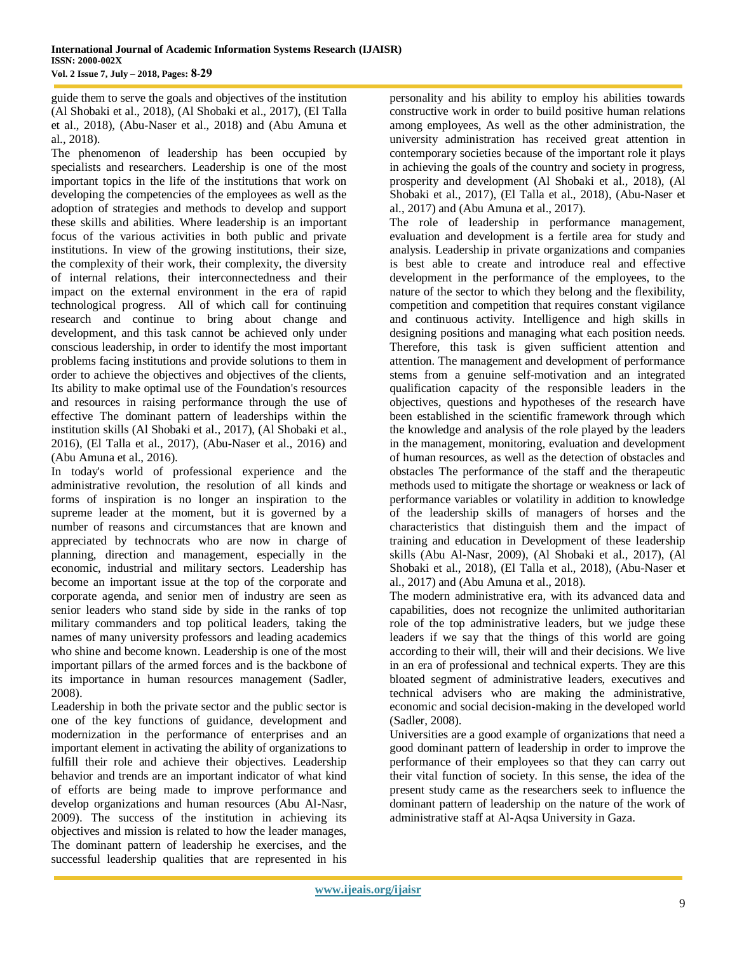guide them to serve the goals and objectives of the institution (Al Shobaki et al., 2018), (Al Shobaki et al., 2017), (El Talla et al., 2018), (Abu-Naser et al., 2018) and (Abu Amuna et al., 2018).

The phenomenon of leadership has been occupied by specialists and researchers. Leadership is one of the most important topics in the life of the institutions that work on developing the competencies of the employees as well as the adoption of strategies and methods to develop and support these skills and abilities. Where leadership is an important focus of the various activities in both public and private institutions. In view of the growing institutions, their size, the complexity of their work, their complexity, the diversity of internal relations, their interconnectedness and their impact on the external environment in the era of rapid technological progress. All of which call for continuing research and continue to bring about change and development, and this task cannot be achieved only under conscious leadership, in order to identify the most important problems facing institutions and provide solutions to them in order to achieve the objectives and objectives of the clients, Its ability to make optimal use of the Foundation's resources and resources in raising performance through the use of effective The dominant pattern of leaderships within the institution skills (Al Shobaki et al., 2017), (Al Shobaki et al., 2016), (El Talla et al., 2017), (Abu-Naser et al., 2016) and (Abu Amuna et al., 2016).

In today's world of professional experience and the administrative revolution, the resolution of all kinds and forms of inspiration is no longer an inspiration to the supreme leader at the moment, but it is governed by a number of reasons and circumstances that are known and appreciated by technocrats who are now in charge of planning, direction and management, especially in the economic, industrial and military sectors. Leadership has become an important issue at the top of the corporate and corporate agenda, and senior men of industry are seen as senior leaders who stand side by side in the ranks of top military commanders and top political leaders, taking the names of many university professors and leading academics who shine and become known. Leadership is one of the most important pillars of the armed forces and is the backbone of its importance in human resources management (Sadler, 2008).

Leadership in both the private sector and the public sector is one of the key functions of guidance, development and modernization in the performance of enterprises and an important element in activating the ability of organizations to fulfill their role and achieve their objectives. Leadership behavior and trends are an important indicator of what kind of efforts are being made to improve performance and develop organizations and human resources (Abu Al-Nasr, 2009). The success of the institution in achieving its objectives and mission is related to how the leader manages, The dominant pattern of leadership he exercises, and the successful leadership qualities that are represented in his

personality and his ability to employ his abilities towards constructive work in order to build positive human relations among employees, As well as the other administration, the university administration has received great attention in contemporary societies because of the important role it plays in achieving the goals of the country and society in progress, prosperity and development (Al Shobaki et al., 2018), (Al Shobaki et al., 2017), (El Talla et al., 2018), (Abu-Naser et al., 2017) and (Abu Amuna et al., 2017).

The role of leadership in performance management, evaluation and development is a fertile area for study and analysis. Leadership in private organizations and companies is best able to create and introduce real and effective development in the performance of the employees, to the nature of the sector to which they belong and the flexibility, competition and competition that requires constant vigilance and continuous activity. Intelligence and high skills in designing positions and managing what each position needs. Therefore, this task is given sufficient attention and attention. The management and development of performance stems from a genuine self-motivation and an integrated qualification capacity of the responsible leaders in the objectives, questions and hypotheses of the research have been established in the scientific framework through which the knowledge and analysis of the role played by the leaders in the management, monitoring, evaluation and development of human resources, as well as the detection of obstacles and obstacles The performance of the staff and the therapeutic methods used to mitigate the shortage or weakness or lack of performance variables or volatility in addition to knowledge of the leadership skills of managers of horses and the characteristics that distinguish them and the impact of training and education in Development of these leadership skills (Abu Al-Nasr, 2009), (Al Shobaki et al., 2017), (Al Shobaki et al., 2018), (El Talla et al., 2018), (Abu-Naser et al., 2017) and (Abu Amuna et al., 2018).

The modern administrative era, with its advanced data and capabilities, does not recognize the unlimited authoritarian role of the top administrative leaders, but we judge these leaders if we say that the things of this world are going according to their will, their will and their decisions. We live in an era of professional and technical experts. They are this bloated segment of administrative leaders, executives and technical advisers who are making the administrative, economic and social decision-making in the developed world (Sadler, 2008).

Universities are a good example of organizations that need a good dominant pattern of leadership in order to improve the performance of their employees so that they can carry out their vital function of society. In this sense, the idea of the present study came as the researchers seek to influence the dominant pattern of leadership on the nature of the work of administrative staff at Al-Aqsa University in Gaza.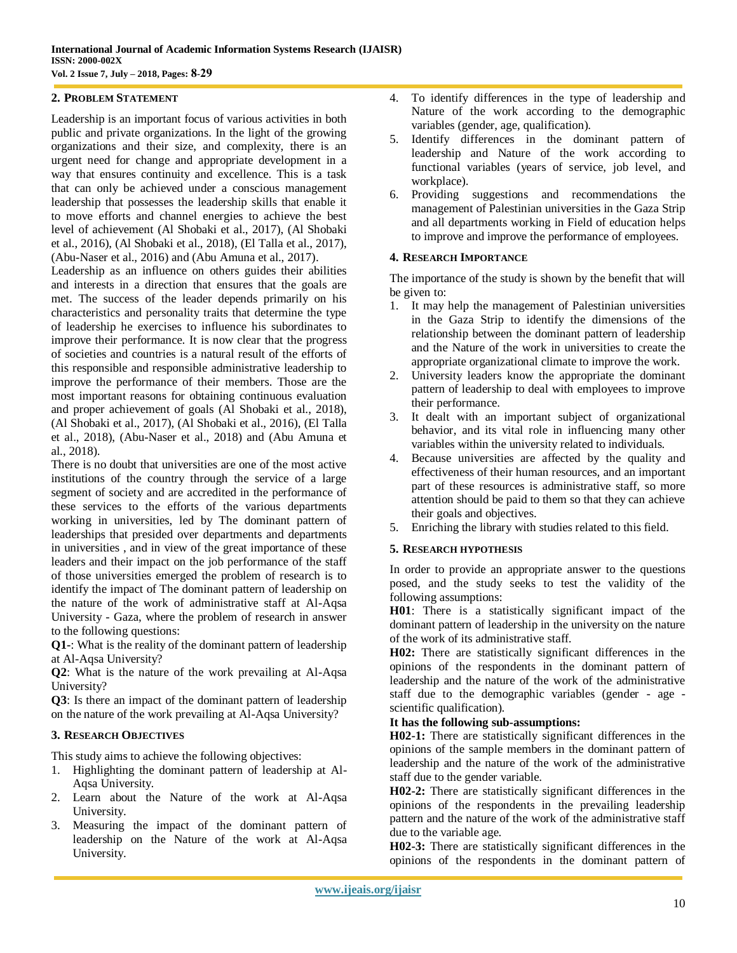#### **2. PROBLEM STATEMENT**

Leadership is an important focus of various activities in both public and private organizations. In the light of the growing organizations and their size, and complexity, there is an urgent need for change and appropriate development in a way that ensures continuity and excellence. This is a task that can only be achieved under a conscious management leadership that possesses the leadership skills that enable it to move efforts and channel energies to achieve the best level of achievement (Al Shobaki et al., 2017), (Al Shobaki et al., 2016), (Al Shobaki et al., 2018), (El Talla et al., 2017), (Abu-Naser et al., 2016) and (Abu Amuna et al., 2017).

Leadership as an influence on others guides their abilities and interests in a direction that ensures that the goals are met. The success of the leader depends primarily on his characteristics and personality traits that determine the type of leadership he exercises to influence his subordinates to improve their performance. It is now clear that the progress of societies and countries is a natural result of the efforts of this responsible and responsible administrative leadership to improve the performance of their members. Those are the most important reasons for obtaining continuous evaluation and proper achievement of goals (Al Shobaki et al., 2018), (Al Shobaki et al., 2017), (Al Shobaki et al., 2016), (El Talla et al., 2018), (Abu-Naser et al., 2018) and (Abu Amuna et al., 2018).

There is no doubt that universities are one of the most active institutions of the country through the service of a large segment of society and are accredited in the performance of these services to the efforts of the various departments working in universities, led by The dominant pattern of leaderships that presided over departments and departments in universities , and in view of the great importance of these leaders and their impact on the job performance of the staff of those universities emerged the problem of research is to identify the impact of The dominant pattern of leadership on the nature of the work of administrative staff at Al-Aqsa University - Gaza, where the problem of research in answer to the following questions:

**Q1-**: What is the reality of the dominant pattern of leadership at Al-Aqsa University?

**Q2**: What is the nature of the work prevailing at Al-Aqsa University?

**Q3**: Is there an impact of the dominant pattern of leadership on the nature of the work prevailing at Al-Aqsa University?

#### **3. RESEARCH OBJECTIVES**

This study aims to achieve the following objectives:

- 1. Highlighting the dominant pattern of leadership at Al-Aqsa University.
- 2. Learn about the Nature of the work at Al-Aqsa University.
- 3. Measuring the impact of the dominant pattern of leadership on the Nature of the work at Al-Aqsa University.
- 4. To identify differences in the type of leadership and Nature of the work according to the demographic variables (gender, age, qualification).
- 5. Identify differences in the dominant pattern of leadership and Nature of the work according to functional variables (years of service, job level, and workplace).
- 6. Providing suggestions and recommendations the management of Palestinian universities in the Gaza Strip and all departments working in Field of education helps to improve and improve the performance of employees.

#### **4. RESEARCH IMPORTANCE**

The importance of the study is shown by the benefit that will be given to:

- 1. It may help the management of Palestinian universities in the Gaza Strip to identify the dimensions of the relationship between the dominant pattern of leadership and the Nature of the work in universities to create the appropriate organizational climate to improve the work.
- 2. University leaders know the appropriate the dominant pattern of leadership to deal with employees to improve their performance.
- 3. It dealt with an important subject of organizational behavior, and its vital role in influencing many other variables within the university related to individuals.
- 4. Because universities are affected by the quality and effectiveness of their human resources, and an important part of these resources is administrative staff, so more attention should be paid to them so that they can achieve their goals and objectives.
- 5. Enriching the library with studies related to this field.

#### **5. RESEARCH HYPOTHESIS**

In order to provide an appropriate answer to the questions posed, and the study seeks to test the validity of the following assumptions:

**H01**: There is a statistically significant impact of the dominant pattern of leadership in the university on the nature of the work of its administrative staff.

**H02:** There are statistically significant differences in the opinions of the respondents in the dominant pattern of leadership and the nature of the work of the administrative staff due to the demographic variables (gender - age scientific qualification).

#### **It has the following sub-assumptions:**

**H02-1:** There are statistically significant differences in the opinions of the sample members in the dominant pattern of leadership and the nature of the work of the administrative staff due to the gender variable.

**H02-2:** There are statistically significant differences in the opinions of the respondents in the prevailing leadership pattern and the nature of the work of the administrative staff due to the variable age.

**H02-3:** There are statistically significant differences in the opinions of the respondents in the dominant pattern of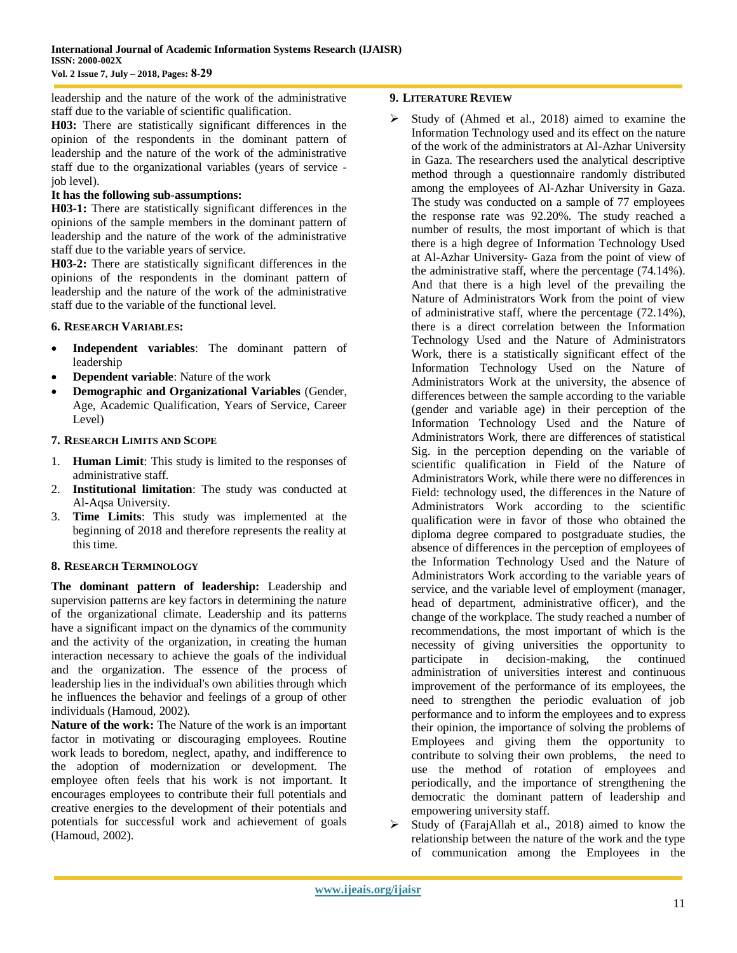leadership and the nature of the work of the administrative staff due to the variable of scientific qualification.

**H03:** There are statistically significant differences in the opinion of the respondents in the dominant pattern of leadership and the nature of the work of the administrative staff due to the organizational variables (years of service job level).

#### **It has the following sub-assumptions:**

**H03-1:** There are statistically significant differences in the opinions of the sample members in the dominant pattern of leadership and the nature of the work of the administrative staff due to the variable years of service.

**H03-2:** There are statistically significant differences in the opinions of the respondents in the dominant pattern of leadership and the nature of the work of the administrative staff due to the variable of the functional level.

#### **6. RESEARCH VARIABLES:**

- **Independent variables**: The dominant pattern of leadership
- **Dependent variable**: Nature of the work
- **Demographic and Organizational Variables** (Gender, Age, Academic Qualification, Years of Service, Career Level)

#### **7. RESEARCH LIMITS AND SCOPE**

- 1. **Human Limit**: This study is limited to the responses of administrative staff.
- 2. **Institutional limitation**: The study was conducted at Al-Aqsa University.
- 3. **Time Limits**: This study was implemented at the beginning of 2018 and therefore represents the reality at this time.

#### **8. RESEARCH TERMINOLOGY**

**The dominant pattern of leadership:** Leadership and supervision patterns are key factors in determining the nature of the organizational climate. Leadership and its patterns have a significant impact on the dynamics of the community and the activity of the organization, in creating the human interaction necessary to achieve the goals of the individual and the organization. The essence of the process of leadership lies in the individual's own abilities through which he influences the behavior and feelings of a group of other individuals (Hamoud, 2002).

**Nature of the work:** The Nature of the work is an important factor in motivating or discouraging employees. Routine work leads to boredom, neglect, apathy, and indifference to the adoption of modernization or development. The employee often feels that his work is not important. It encourages employees to contribute their full potentials and creative energies to the development of their potentials and potentials for successful work and achievement of goals (Hamoud, 2002).

## **9. LITERATURE REVIEW**

- Study of (Ahmed et al., 2018) aimed to examine the Information Technology used and its effect on the nature of the work of the administrators at Al-Azhar University in Gaza. The researchers used the analytical descriptive method through a questionnaire randomly distributed among the employees of Al-Azhar University in Gaza. The study was conducted on a sample of 77 employees the response rate was 92.20%. The study reached a number of results, the most important of which is that there is a high degree of Information Technology Used at Al-Azhar University- Gaza from the point of view of the administrative staff, where the percentage (74.14%). And that there is a high level of the prevailing the Nature of Administrators Work from the point of view of administrative staff, where the percentage (72.14%), there is a direct correlation between the Information Technology Used and the Nature of Administrators Work, there is a statistically significant effect of the Information Technology Used on the Nature of Administrators Work at the university, the absence of differences between the sample according to the variable (gender and variable age) in their perception of the Information Technology Used and the Nature of Administrators Work, there are differences of statistical Sig. in the perception depending on the variable of scientific qualification in Field of the Nature of Administrators Work, while there were no differences in Field: technology used, the differences in the Nature of Administrators Work according to the scientific qualification were in favor of those who obtained the diploma degree compared to postgraduate studies, the absence of differences in the perception of employees of the Information Technology Used and the Nature of Administrators Work according to the variable years of service, and the variable level of employment (manager, head of department, administrative officer), and the change of the workplace. The study reached a number of recommendations, the most important of which is the necessity of giving universities the opportunity to participate in decision-making, the continued administration of universities interest and continuous improvement of the performance of its employees, the need to strengthen the periodic evaluation of job performance and to inform the employees and to express their opinion, the importance of solving the problems of Employees and giving them the opportunity to contribute to solving their own problems, the need to use the method of rotation of employees and periodically, and the importance of strengthening the democratic the dominant pattern of leadership and empowering university staff.
- $\triangleright$  Study of (FarajAllah et al., 2018) aimed to know the relationship between the nature of the work and the type of communication among the Employees in the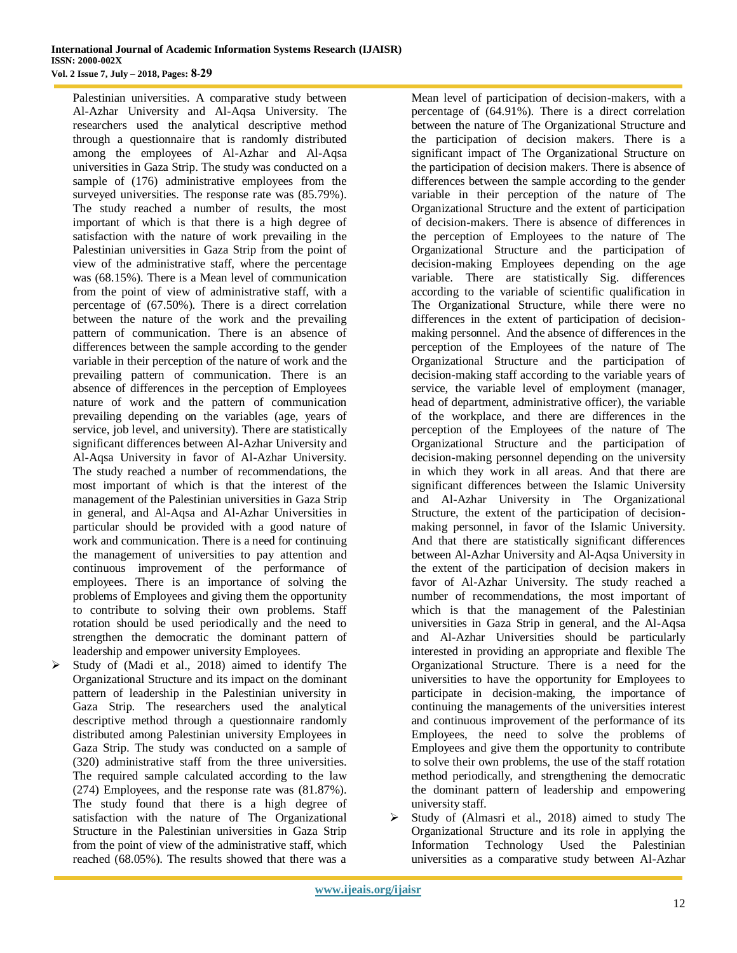Palestinian universities. A comparative study between Al-Azhar University and Al-Aqsa University. The researchers used the analytical descriptive method through a questionnaire that is randomly distributed among the employees of Al-Azhar and Al-Aqsa universities in Gaza Strip. The study was conducted on a sample of (176) administrative employees from the surveyed universities. The response rate was (85.79%). The study reached a number of results, the most important of which is that there is a high degree of satisfaction with the nature of work prevailing in the Palestinian universities in Gaza Strip from the point of view of the administrative staff, where the percentage was (68.15%). There is a Mean level of communication from the point of view of administrative staff, with a percentage of (67.50%). There is a direct correlation between the nature of the work and the prevailing pattern of communication. There is an absence of differences between the sample according to the gender variable in their perception of the nature of work and the prevailing pattern of communication. There is an absence of differences in the perception of Employees nature of work and the pattern of communication prevailing depending on the variables (age, years of service, job level, and university). There are statistically significant differences between Al-Azhar University and Al-Aqsa University in favor of Al-Azhar University. The study reached a number of recommendations, the most important of which is that the interest of the management of the Palestinian universities in Gaza Strip in general, and Al-Aqsa and Al-Azhar Universities in particular should be provided with a good nature of work and communication. There is a need for continuing the management of universities to pay attention and continuous improvement of the performance of employees. There is an importance of solving the problems of Employees and giving them the opportunity to contribute to solving their own problems. Staff rotation should be used periodically and the need to strengthen the democratic the dominant pattern of leadership and empower university Employees.

 $\triangleright$  Study of (Madi et al., 2018) aimed to identify The Organizational Structure and its impact on the dominant pattern of leadership in the Palestinian university in Gaza Strip. The researchers used the analytical descriptive method through a questionnaire randomly distributed among Palestinian university Employees in Gaza Strip. The study was conducted on a sample of (320) administrative staff from the three universities. The required sample calculated according to the law (274) Employees, and the response rate was (81.87%). The study found that there is a high degree of satisfaction with the nature of The Organizational Structure in the Palestinian universities in Gaza Strip from the point of view of the administrative staff, which reached (68.05%). The results showed that there was a

Mean level of participation of decision-makers, with a percentage of (64.91%). There is a direct correlation between the nature of The Organizational Structure and the participation of decision makers. There is a significant impact of The Organizational Structure on the participation of decision makers. There is absence of differences between the sample according to the gender variable in their perception of the nature of The Organizational Structure and the extent of participation of decision-makers. There is absence of differences in the perception of Employees to the nature of The Organizational Structure and the participation of decision-making Employees depending on the age variable. There are statistically Sig. differences according to the variable of scientific qualification in The Organizational Structure, while there were no differences in the extent of participation of decisionmaking personnel. And the absence of differences in the perception of the Employees of the nature of The Organizational Structure and the participation of decision-making staff according to the variable years of service, the variable level of employment (manager, head of department, administrative officer), the variable of the workplace, and there are differences in the perception of the Employees of the nature of The Organizational Structure and the participation of decision-making personnel depending on the university in which they work in all areas. And that there are significant differences between the Islamic University and Al-Azhar University in The Organizational Structure, the extent of the participation of decisionmaking personnel, in favor of the Islamic University. And that there are statistically significant differences between Al-Azhar University and Al-Aqsa University in the extent of the participation of decision makers in favor of Al-Azhar University. The study reached a number of recommendations, the most important of which is that the management of the Palestinian universities in Gaza Strip in general, and the Al-Aqsa and Al-Azhar Universities should be particularly interested in providing an appropriate and flexible The Organizational Structure. There is a need for the universities to have the opportunity for Employees to participate in decision-making, the importance of continuing the managements of the universities interest and continuous improvement of the performance of its Employees, the need to solve the problems of Employees and give them the opportunity to contribute to solve their own problems, the use of the staff rotation method periodically, and strengthening the democratic the dominant pattern of leadership and empowering university staff.

 $\triangleright$  Study of (Almasri et al., 2018) aimed to study The Organizational Structure and its role in applying the Information Technology Used the Palestinian universities as a comparative study between Al-Azhar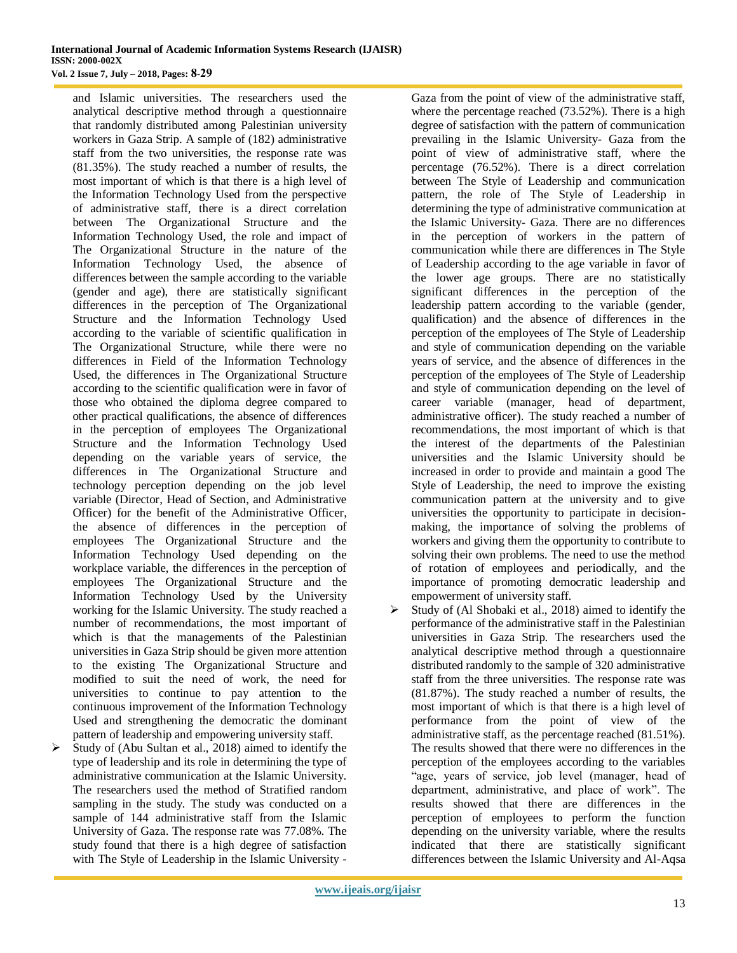and Islamic universities. The researchers used the analytical descriptive method through a questionnaire that randomly distributed among Palestinian university workers in Gaza Strip. A sample of (182) administrative staff from the two universities, the response rate was (81.35%). The study reached a number of results, the most important of which is that there is a high level of the Information Technology Used from the perspective of administrative staff, there is a direct correlation between The Organizational Structure and the Information Technology Used, the role and impact of The Organizational Structure in the nature of the Information Technology Used, the absence of differences between the sample according to the variable (gender and age), there are statistically significant differences in the perception of The Organizational Structure and the Information Technology Used according to the variable of scientific qualification in The Organizational Structure, while there were no differences in Field of the Information Technology Used, the differences in The Organizational Structure according to the scientific qualification were in favor of those who obtained the diploma degree compared to other practical qualifications, the absence of differences in the perception of employees The Organizational Structure and the Information Technology Used depending on the variable years of service, the differences in The Organizational Structure and technology perception depending on the job level variable (Director, Head of Section, and Administrative Officer) for the benefit of the Administrative Officer, the absence of differences in the perception of employees The Organizational Structure and the Information Technology Used depending on the workplace variable, the differences in the perception of employees The Organizational Structure and the Information Technology Used by the University working for the Islamic University. The study reached a number of recommendations, the most important of which is that the managements of the Palestinian universities in Gaza Strip should be given more attention to the existing The Organizational Structure and modified to suit the need of work, the need for universities to continue to pay attention to the continuous improvement of the Information Technology Used and strengthening the democratic the dominant pattern of leadership and empowering university staff.

 Study of (Abu Sultan et al., 2018) aimed to identify the type of leadership and its role in determining the type of administrative communication at the Islamic University. The researchers used the method of Stratified random sampling in the study. The study was conducted on a sample of 144 administrative staff from the Islamic University of Gaza. The response rate was 77.08%. The study found that there is a high degree of satisfaction with The Style of Leadership in the Islamic University -

Gaza from the point of view of the administrative staff, where the percentage reached (73.52%). There is a high degree of satisfaction with the pattern of communication prevailing in the Islamic University- Gaza from the point of view of administrative staff, where the percentage (76.52%). There is a direct correlation between The Style of Leadership and communication pattern, the role of The Style of Leadership in determining the type of administrative communication at the Islamic University- Gaza. There are no differences in the perception of workers in the pattern of communication while there are differences in The Style of Leadership according to the age variable in favor of the lower age groups. There are no statistically significant differences in the perception of the leadership pattern according to the variable (gender, qualification) and the absence of differences in the perception of the employees of The Style of Leadership and style of communication depending on the variable years of service, and the absence of differences in the perception of the employees of The Style of Leadership and style of communication depending on the level of career variable (manager, head of department, administrative officer). The study reached a number of recommendations, the most important of which is that the interest of the departments of the Palestinian universities and the Islamic University should be increased in order to provide and maintain a good The Style of Leadership, the need to improve the existing communication pattern at the university and to give universities the opportunity to participate in decisionmaking, the importance of solving the problems of workers and giving them the opportunity to contribute to solving their own problems. The need to use the method of rotation of employees and periodically, and the importance of promoting democratic leadership and empowerment of university staff.

 $\triangleright$  Study of (Al Shobaki et al., 2018) aimed to identify the performance of the administrative staff in the Palestinian universities in Gaza Strip. The researchers used the analytical descriptive method through a questionnaire distributed randomly to the sample of 320 administrative staff from the three universities. The response rate was (81.87%). The study reached a number of results, the most important of which is that there is a high level of performance from the point of view of the administrative staff, as the percentage reached (81.51%). The results showed that there were no differences in the perception of the employees according to the variables "age, years of service, job level (manager, head of department, administrative, and place of work". The results showed that there are differences in the perception of employees to perform the function depending on the university variable, where the results indicated that there are statistically significant differences between the Islamic University and Al-Aqsa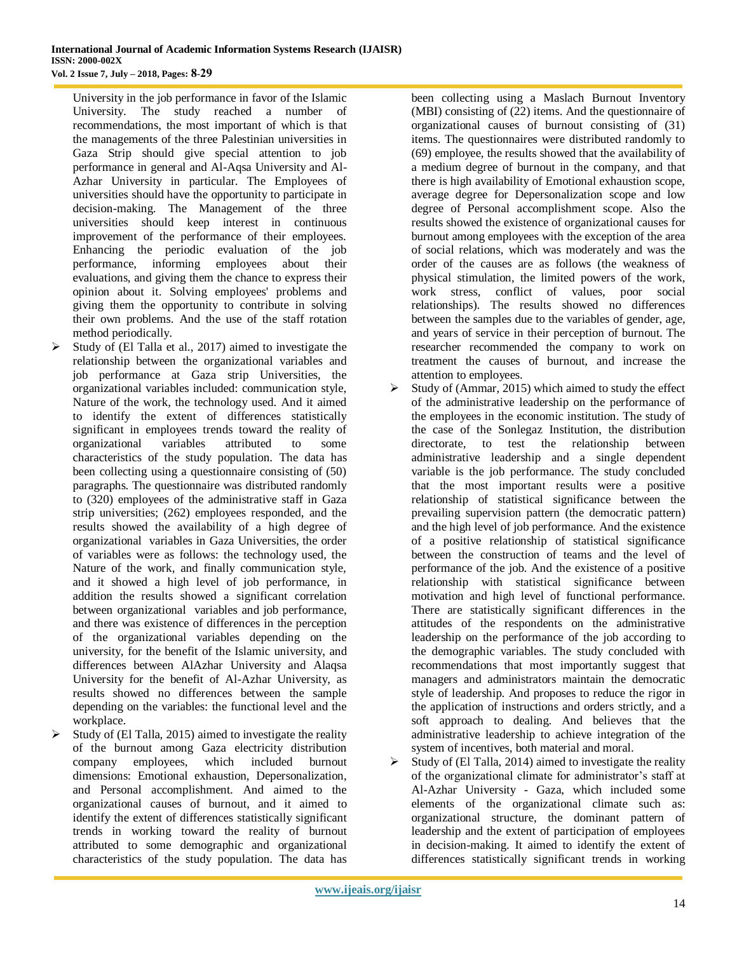University in the job performance in favor of the Islamic University. The study reached a number of recommendations, the most important of which is that the managements of the three Palestinian universities in Gaza Strip should give special attention to job performance in general and Al-Aqsa University and Al-Azhar University in particular. The Employees of universities should have the opportunity to participate in decision-making. The Management of the three universities should keep interest in continuous improvement of the performance of their employees. Enhancing the periodic evaluation of the job performance, informing employees about their evaluations, and giving them the chance to express their opinion about it. Solving employees' problems and giving them the opportunity to contribute in solving their own problems. And the use of the staff rotation method periodically.

- $\triangleright$  Study of (El Talla et al., 2017) aimed to investigate the relationship between the organizational variables and job performance at Gaza strip Universities, the organizational variables included: communication style, Nature of the work, the technology used. And it aimed to identify the extent of differences statistically significant in employees trends toward the reality of organizational variables attributed to some characteristics of the study population. The data has been collecting using a questionnaire consisting of (50) paragraphs. The questionnaire was distributed randomly to (320) employees of the administrative staff in Gaza strip universities; (262) employees responded, and the results showed the availability of a high degree of organizational variables in Gaza Universities, the order of variables were as follows: the technology used, the Nature of the work, and finally communication style, and it showed a high level of job performance, in addition the results showed a significant correlation between organizational variables and job performance, and there was existence of differences in the perception of the organizational variables depending on the university, for the benefit of the Islamic university, and differences between AlAzhar University and Alaqsa University for the benefit of Al-Azhar University, as results showed no differences between the sample depending on the variables: the functional level and the workplace.
- $\triangleright$  Study of (El Talla, 2015) aimed to investigate the reality of the burnout among Gaza electricity distribution company employees, which included burnout dimensions: Emotional exhaustion, Depersonalization, and Personal accomplishment. And aimed to the organizational causes of burnout, and it aimed to identify the extent of differences statistically significant trends in working toward the reality of burnout attributed to some demographic and organizational characteristics of the study population. The data has

been collecting using a Maslach Burnout Inventory (MBI) consisting of (22) items. And the questionnaire of organizational causes of burnout consisting of (31) items. The questionnaires were distributed randomly to (69) employee, the results showed that the availability of a medium degree of burnout in the company, and that there is high availability of Emotional exhaustion scope, average degree for Depersonalization scope and low degree of Personal accomplishment scope. Also the results showed the existence of organizational causes for burnout among employees with the exception of the area of social relations, which was moderately and was the order of the causes are as follows (the weakness of physical stimulation, the limited powers of the work, work stress, conflict of values, poor social relationships). The results showed no differences between the samples due to the variables of gender, age, and years of service in their perception of burnout. The researcher recommended the company to work on treatment the causes of burnout, and increase the attention to employees.

- $\triangleright$  Study of (Ammar, 2015) which aimed to study the effect of the administrative leadership on the performance of the employees in the economic institution. The study of the case of the Sonlegaz Institution, the distribution directorate, to test the relationship between administrative leadership and a single dependent variable is the job performance. The study concluded that the most important results were a positive relationship of statistical significance between the prevailing supervision pattern (the democratic pattern) and the high level of job performance. And the existence of a positive relationship of statistical significance between the construction of teams and the level of performance of the job. And the existence of a positive relationship with statistical significance between motivation and high level of functional performance. There are statistically significant differences in the attitudes of the respondents on the administrative leadership on the performance of the job according to the demographic variables. The study concluded with recommendations that most importantly suggest that managers and administrators maintain the democratic style of leadership. And proposes to reduce the rigor in the application of instructions and orders strictly, and a soft approach to dealing. And believes that the administrative leadership to achieve integration of the system of incentives, both material and moral.
- $\triangleright$  Study of (El Talla, 2014) aimed to investigate the reality of the organizational climate for administrator's staff at Al-Azhar University - Gaza, which included some elements of the organizational climate such as: organizational structure, the dominant pattern of leadership and the extent of participation of employees in decision-making. It aimed to identify the extent of differences statistically significant trends in working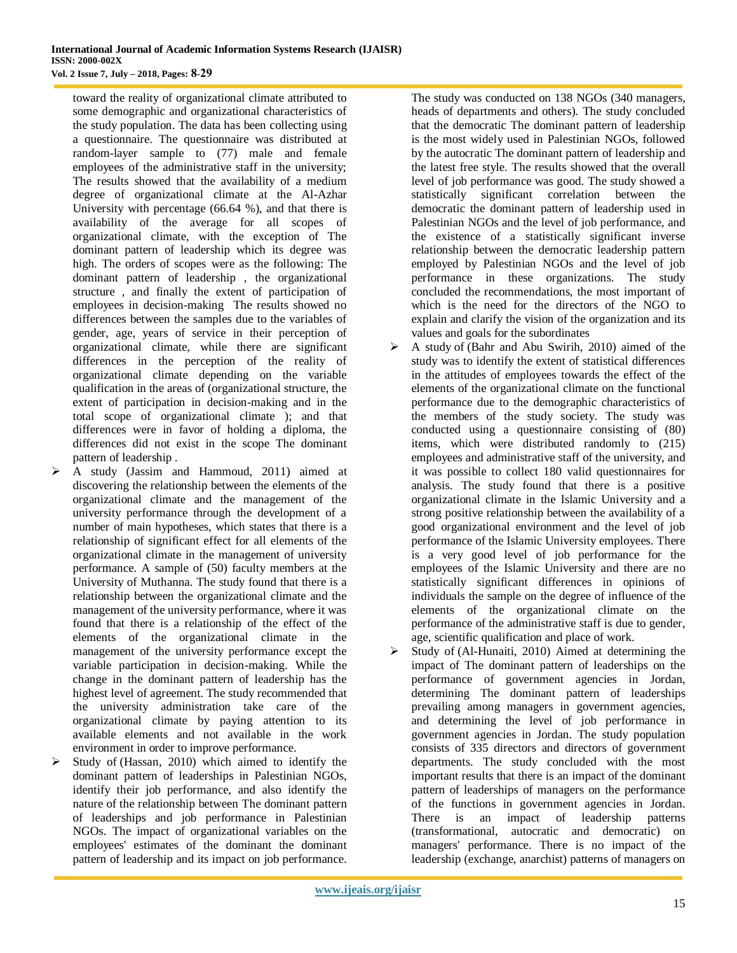toward the reality of organizational climate attributed to some demographic and organizational characteristics of the study population. The data has been collecting using a questionnaire. The questionnaire was distributed at random-layer sample to (77) male and female employees of the administrative staff in the university; The results showed that the availability of a medium degree of organizational climate at the Al-Azhar University with percentage (66.64 %), and that there is availability of the average for all scopes of organizational climate, with the exception of The dominant pattern of leadership which its degree was high. The orders of scopes were as the following: The dominant pattern of leadership , the organizational structure , and finally the extent of participation of employees in decision-making The results showed no differences between the samples due to the variables of gender, age, years of service in their perception of organizational climate, while there are significant differences in the perception of the reality of organizational climate depending on the variable qualification in the areas of (organizational structure, the extent of participation in decision-making and in the total scope of organizational climate ); and that differences were in favor of holding a diploma, the differences did not exist in the scope The dominant pattern of leadership .

- A study (Jassim and Hammoud, 2011) aimed at discovering the relationship between the elements of the organizational climate and the management of the university performance through the development of a number of main hypotheses, which states that there is a relationship of significant effect for all elements of the organizational climate in the management of university performance. A sample of (50) faculty members at the University of Muthanna. The study found that there is a relationship between the organizational climate and the management of the university performance, where it was found that there is a relationship of the effect of the elements of the organizational climate in the management of the university performance except the variable participation in decision-making. While the change in the dominant pattern of leadership has the highest level of agreement. The study recommended that the university administration take care of the organizational climate by paying attention to its available elements and not available in the work environment in order to improve performance.
- $\triangleright$  Study of (Hassan, 2010) which aimed to identify the dominant pattern of leaderships in Palestinian NGOs, identify their job performance, and also identify the nature of the relationship between The dominant pattern of leaderships and job performance in Palestinian NGOs. The impact of organizational variables on the employees' estimates of the dominant the dominant pattern of leadership and its impact on job performance.

The study was conducted on 138 NGOs (340 managers, heads of departments and others). The study concluded that the democratic The dominant pattern of leadership is the most widely used in Palestinian NGOs, followed by the autocratic The dominant pattern of leadership and the latest free style. The results showed that the overall level of job performance was good. The study showed a statistically significant correlation between the democratic the dominant pattern of leadership used in Palestinian NGOs and the level of job performance, and the existence of a statistically significant inverse relationship between the democratic leadership pattern employed by Palestinian NGOs and the level of job performance in these organizations. The study concluded the recommendations, the most important of which is the need for the directors of the NGO to explain and clarify the vision of the organization and its values and goals for the subordinates

- $\triangleright$  A study of (Bahr and Abu Swirih, 2010) aimed of the study was to identify the extent of statistical differences in the attitudes of employees towards the effect of the elements of the organizational climate on the functional performance due to the demographic characteristics of the members of the study society. The study was conducted using a questionnaire consisting of (80) items, which were distributed randomly to (215) employees and administrative staff of the university, and it was possible to collect 180 valid questionnaires for analysis. The study found that there is a positive organizational climate in the Islamic University and a strong positive relationship between the availability of a good organizational environment and the level of job performance of the Islamic University employees. There is a very good level of job performance for the employees of the Islamic University and there are no statistically significant differences in opinions of individuals the sample on the degree of influence of the elements of the organizational climate on the performance of the administrative staff is due to gender, age, scientific qualification and place of work.
- $\triangleright$  Study of (Al-Hunaiti, 2010) Aimed at determining the impact of The dominant pattern of leaderships on the performance of government agencies in Jordan, determining The dominant pattern of leaderships prevailing among managers in government agencies, and determining the level of job performance in government agencies in Jordan. The study population consists of 335 directors and directors of government departments. The study concluded with the most important results that there is an impact of the dominant pattern of leaderships of managers on the performance of the functions in government agencies in Jordan. There is an impact of leadership patterns (transformational, autocratic and democratic) on managers' performance. There is no impact of the leadership (exchange, anarchist) patterns of managers on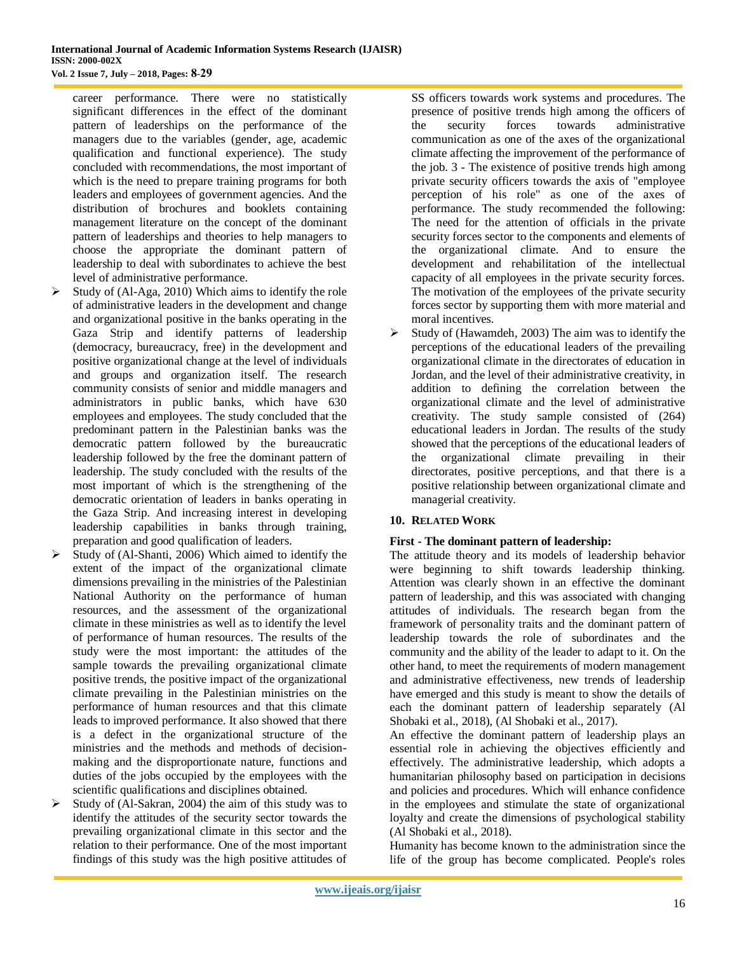career performance. There were no statistically significant differences in the effect of the dominant pattern of leaderships on the performance of the managers due to the variables (gender, age, academic qualification and functional experience). The study concluded with recommendations, the most important of which is the need to prepare training programs for both leaders and employees of government agencies. And the distribution of brochures and booklets containing management literature on the concept of the dominant pattern of leaderships and theories to help managers to choose the appropriate the dominant pattern of leadership to deal with subordinates to achieve the best level of administrative performance.

- Study of (Al-Aga, 2010) Which aims to identify the role of administrative leaders in the development and change and organizational positive in the banks operating in the Gaza Strip and identify patterns of leadership (democracy, bureaucracy, free) in the development and positive organizational change at the level of individuals and groups and organization itself. The research community consists of senior and middle managers and administrators in public banks, which have 630 employees and employees. The study concluded that the predominant pattern in the Palestinian banks was the democratic pattern followed by the bureaucratic leadership followed by the free the dominant pattern of leadership. The study concluded with the results of the most important of which is the strengthening of the democratic orientation of leaders in banks operating in the Gaza Strip. And increasing interest in developing leadership capabilities in banks through training, preparation and good qualification of leaders.
- $\triangleright$  Study of (Al-Shanti, 2006) Which aimed to identify the extent of the impact of the organizational climate dimensions prevailing in the ministries of the Palestinian National Authority on the performance of human resources, and the assessment of the organizational climate in these ministries as well as to identify the level of performance of human resources. The results of the study were the most important: the attitudes of the sample towards the prevailing organizational climate positive trends, the positive impact of the organizational climate prevailing in the Palestinian ministries on the performance of human resources and that this climate leads to improved performance. It also showed that there is a defect in the organizational structure of the ministries and the methods and methods of decisionmaking and the disproportionate nature, functions and duties of the jobs occupied by the employees with the scientific qualifications and disciplines obtained.
- Study of (Al-Sakran, 2004) the aim of this study was to identify the attitudes of the security sector towards the prevailing organizational climate in this sector and the relation to their performance. One of the most important findings of this study was the high positive attitudes of

SS officers towards work systems and procedures. The presence of positive trends high among the officers of the security forces towards administrative communication as one of the axes of the organizational climate affecting the improvement of the performance of the job. 3 - The existence of positive trends high among private security officers towards the axis of "employee perception of his role" as one of the axes of performance. The study recommended the following: The need for the attention of officials in the private security forces sector to the components and elements of the organizational climate. And to ensure the development and rehabilitation of the intellectual capacity of all employees in the private security forces. The motivation of the employees of the private security forces sector by supporting them with more material and moral incentives.

 $\triangleright$  Study of (Hawamdeh, 2003) The aim was to identify the perceptions of the educational leaders of the prevailing organizational climate in the directorates of education in Jordan, and the level of their administrative creativity, in addition to defining the correlation between the organizational climate and the level of administrative creativity. The study sample consisted of (264) educational leaders in Jordan. The results of the study showed that the perceptions of the educational leaders of the organizational climate prevailing in their directorates, positive perceptions, and that there is a positive relationship between organizational climate and managerial creativity.

# **10. RELATED WORK**

#### **First - The dominant pattern of leadership:**

The attitude theory and its models of leadership behavior were beginning to shift towards leadership thinking. Attention was clearly shown in an effective the dominant pattern of leadership, and this was associated with changing attitudes of individuals. The research began from the framework of personality traits and the dominant pattern of leadership towards the role of subordinates and the community and the ability of the leader to adapt to it. On the other hand, to meet the requirements of modern management and administrative effectiveness, new trends of leadership have emerged and this study is meant to show the details of each the dominant pattern of leadership separately (Al Shobaki et al., 2018), (Al Shobaki et al., 2017).

An effective the dominant pattern of leadership plays an essential role in achieving the objectives efficiently and effectively. The administrative leadership, which adopts a humanitarian philosophy based on participation in decisions and policies and procedures. Which will enhance confidence in the employees and stimulate the state of organizational loyalty and create the dimensions of psychological stability (Al Shobaki et al., 2018).

Humanity has become known to the administration since the life of the group has become complicated. People's roles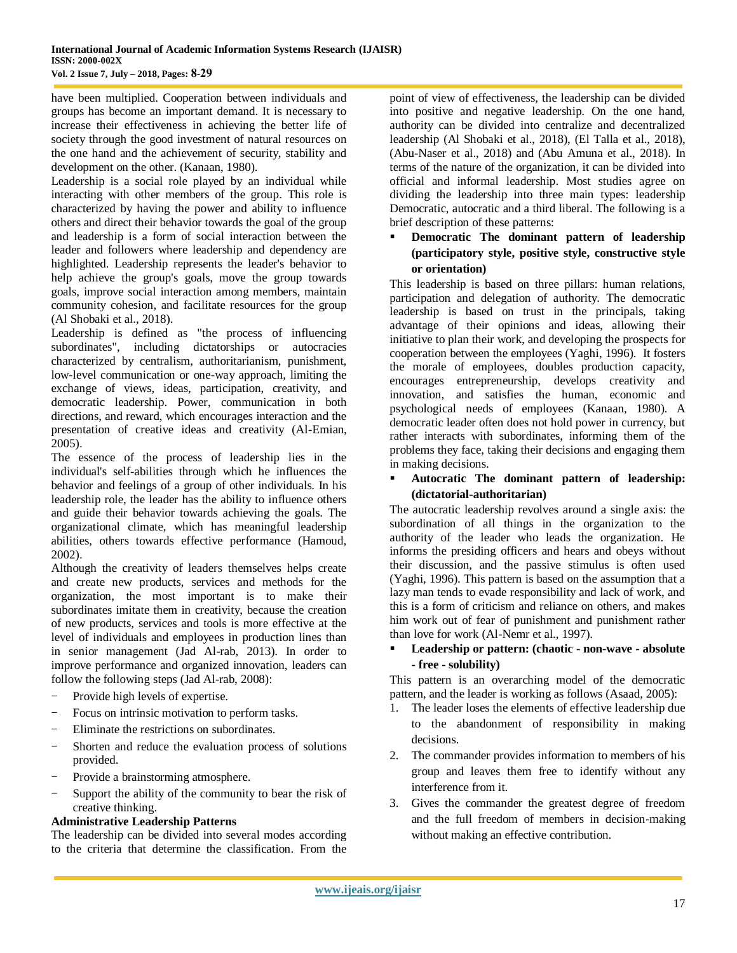have been multiplied. Cooperation between individuals and groups has become an important demand. It is necessary to increase their effectiveness in achieving the better life of society through the good investment of natural resources on the one hand and the achievement of security, stability and development on the other. (Kanaan, 1980).

Leadership is a social role played by an individual while interacting with other members of the group. This role is characterized by having the power and ability to influence others and direct their behavior towards the goal of the group and leadership is a form of social interaction between the leader and followers where leadership and dependency are highlighted. Leadership represents the leader's behavior to help achieve the group's goals, move the group towards goals, improve social interaction among members, maintain community cohesion, and facilitate resources for the group (Al Shobaki et al., 2018).

Leadership is defined as "the process of influencing subordinates", including dictatorships or autocracies characterized by centralism, authoritarianism, punishment, low-level communication or one-way approach, limiting the exchange of views, ideas, participation, creativity, and democratic leadership. Power, communication in both directions, and reward, which encourages interaction and the presentation of creative ideas and creativity (Al-Emian, 2005).

The essence of the process of leadership lies in the individual's self-abilities through which he influences the behavior and feelings of a group of other individuals. In his leadership role, the leader has the ability to influence others and guide their behavior towards achieving the goals. The organizational climate, which has meaningful leadership abilities, others towards effective performance (Hamoud, 2002).

Although the creativity of leaders themselves helps create and create new products, services and methods for the organization, the most important is to make their subordinates imitate them in creativity, because the creation of new products, services and tools is more effective at the level of individuals and employees in production lines than in senior management (Jad Al-rab, 2013). In order to improve performance and organized innovation, leaders can follow the following steps (Jad Al-rab, 2008):

- Provide high levels of expertise.
- Focus on intrinsic motivation to perform tasks.
- Eliminate the restrictions on subordinates.
- Shorten and reduce the evaluation process of solutions provided.
- Provide a brainstorming atmosphere.
- Support the ability of the community to bear the risk of creative thinking.

# **Administrative Leadership Patterns**

The leadership can be divided into several modes according to the criteria that determine the classification. From the

point of view of effectiveness, the leadership can be divided into positive and negative leadership. On the one hand, authority can be divided into centralize and decentralized leadership (Al Shobaki et al., 2018), (El Talla et al., 2018), (Abu-Naser et al., 2018) and (Abu Amuna et al., 2018). In terms of the nature of the organization, it can be divided into official and informal leadership. Most studies agree on dividing the leadership into three main types: leadership Democratic, autocratic and a third liberal. The following is a brief description of these patterns:

# **Democratic The dominant pattern of leadership (participatory style, positive style, constructive style or orientation)**

This leadership is based on three pillars: human relations, participation and delegation of authority. The democratic leadership is based on trust in the principals, taking advantage of their opinions and ideas, allowing their initiative to plan their work, and developing the prospects for cooperation between the employees (Yaghi, 1996). It fosters the morale of employees, doubles production capacity, encourages entrepreneurship, develops creativity and innovation, and satisfies the human, economic and psychological needs of employees (Kanaan, 1980). A democratic leader often does not hold power in currency, but rather interacts with subordinates, informing them of the problems they face, taking their decisions and engaging them in making decisions.

#### **Autocratic The dominant pattern of leadership: (dictatorial-authoritarian)**

The autocratic leadership revolves around a single axis: the subordination of all things in the organization to the authority of the leader who leads the organization. He informs the presiding officers and hears and obeys without their discussion, and the passive stimulus is often used (Yaghi, 1996). This pattern is based on the assumption that a lazy man tends to evade responsibility and lack of work, and this is a form of criticism and reliance on others, and makes him work out of fear of punishment and punishment rather than love for work (Al-Nemr et al., 1997).

### **Leadership or pattern: (chaotic - non-wave - absolute - free - solubility)**

This pattern is an overarching model of the democratic pattern, and the leader is working as follows (Asaad, 2005):

- 1. The leader loses the elements of effective leadership due to the abandonment of responsibility in making decisions.
- 2. The commander provides information to members of his group and leaves them free to identify without any interference from it.
- 3. Gives the commander the greatest degree of freedom and the full freedom of members in decision-making without making an effective contribution.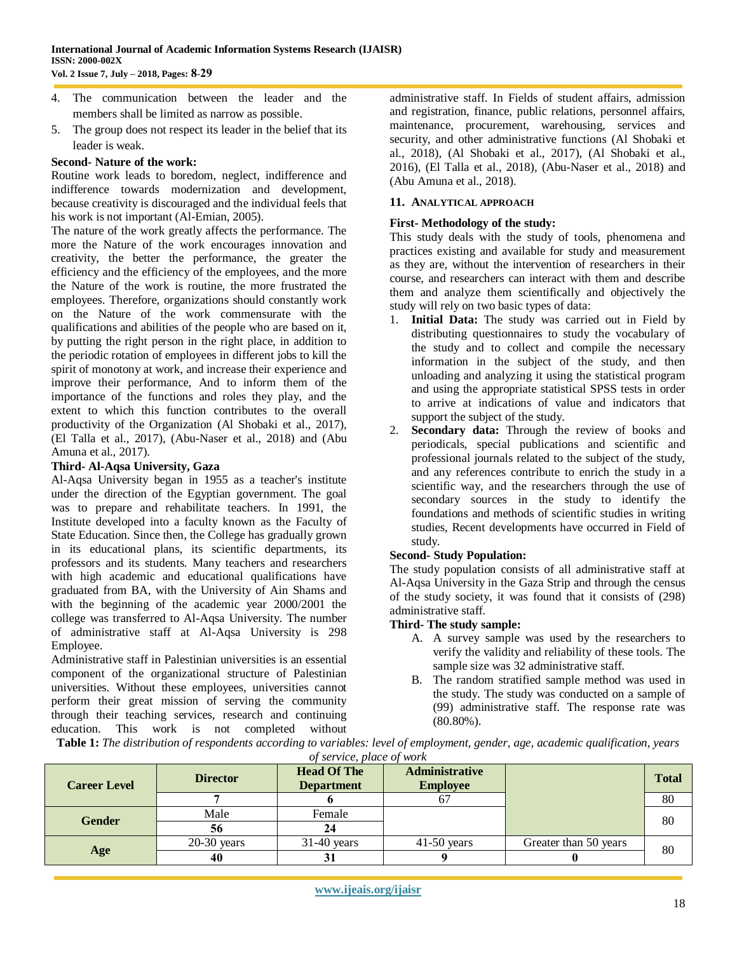- 4. The communication between the leader and the members shall be limited as narrow as possible.
- 5. The group does not respect its leader in the belief that its leader is weak.

#### **Second- Nature of the work:**

Routine work leads to boredom, neglect, indifference and indifference towards modernization and development, because creativity is discouraged and the individual feels that his work is not important (Al-Emian, 2005).

The nature of the work greatly affects the performance. The more the Nature of the work encourages innovation and creativity, the better the performance, the greater the efficiency and the efficiency of the employees, and the more the Nature of the work is routine, the more frustrated the employees. Therefore, organizations should constantly work on the Nature of the work commensurate with the qualifications and abilities of the people who are based on it, by putting the right person in the right place, in addition to the periodic rotation of employees in different jobs to kill the spirit of monotony at work, and increase their experience and improve their performance, And to inform them of the importance of the functions and roles they play, and the extent to which this function contributes to the overall productivity of the Organization (Al Shobaki et al., 2017), (El Talla et al., 2017), (Abu-Naser et al., 2018) and (Abu Amuna et al., 2017).

#### **Third- Al-Aqsa University, Gaza**

Al-Aqsa University began in 1955 as a teacher's institute under the direction of the Egyptian government. The goal was to prepare and rehabilitate teachers. In 1991, the Institute developed into a faculty known as the Faculty of State Education. Since then, the College has gradually grown in its educational plans, its scientific departments, its professors and its students. Many teachers and researchers with high academic and educational qualifications have graduated from BA, with the University of Ain Shams and with the beginning of the academic year 2000/2001 the college was transferred to Al-Aqsa University. The number of administrative staff at Al-Aqsa University is 298 Employee.

Administrative staff in Palestinian universities is an essential component of the organizational structure of Palestinian universities. Without these employees, universities cannot perform their great mission of serving the community through their teaching services, research and continuing education. This work is not completed without

administrative staff. In Fields of student affairs, admission and registration, finance, public relations, personnel affairs, maintenance, procurement, warehousing, services and security, and other administrative functions (Al Shobaki et al., 2018), (Al Shobaki et al., 2017), (Al Shobaki et al., 2016), (El Talla et al., 2018), (Abu-Naser et al., 2018) and (Abu Amuna et al., 2018).

#### **11. ANALYTICAL APPROACH**

#### **First- Methodology of the study:**

This study deals with the study of tools, phenomena and practices existing and available for study and measurement as they are, without the intervention of researchers in their course, and researchers can interact with them and describe them and analyze them scientifically and objectively the study will rely on two basic types of data:

- 1. **Initial Data:** The study was carried out in Field by distributing questionnaires to study the vocabulary of the study and to collect and compile the necessary information in the subject of the study, and then unloading and analyzing it using the statistical program and using the appropriate statistical SPSS tests in order to arrive at indications of value and indicators that support the subject of the study.
- 2. **Secondary data:** Through the review of books and periodicals, special publications and scientific and professional journals related to the subject of the study, and any references contribute to enrich the study in a scientific way, and the researchers through the use of secondary sources in the study to identify the foundations and methods of scientific studies in writing studies, Recent developments have occurred in Field of study.

## **Second- Study Population:**

The study population consists of all administrative staff at Al-Aqsa University in the Gaza Strip and through the census of the study society, it was found that it consists of (298) administrative staff.

#### **Third- The study sample:**

- A. A survey sample was used by the researchers to verify the validity and reliability of these tools. The sample size was 32 administrative staff.
- B. The random stratified sample method was used in the study. The study was conducted on a sample of (99) administrative staff. The response rate was (80.80%).

**Table 1:** *The distribution of respondents according to variables: level of employment, gender, age, academic qualification, years of service, place of work*

| <b>Career Level</b> | <b>Director</b> | <b>Administrative</b><br><b>Head Of The</b><br><b>Employee</b><br><b>Department</b> |               |                       | <b>Total</b> |
|---------------------|-----------------|-------------------------------------------------------------------------------------|---------------|-----------------------|--------------|
|                     |                 |                                                                                     |               |                       | 80           |
| <b>Gender</b>       | Male            | Female                                                                              |               |                       | 80           |
|                     | 56              |                                                                                     |               |                       |              |
|                     | $20-30$ years   | $31-40$ years                                                                       | $41-50$ years | Greater than 50 years | 80           |
| Age                 | 40              |                                                                                     |               |                       |              |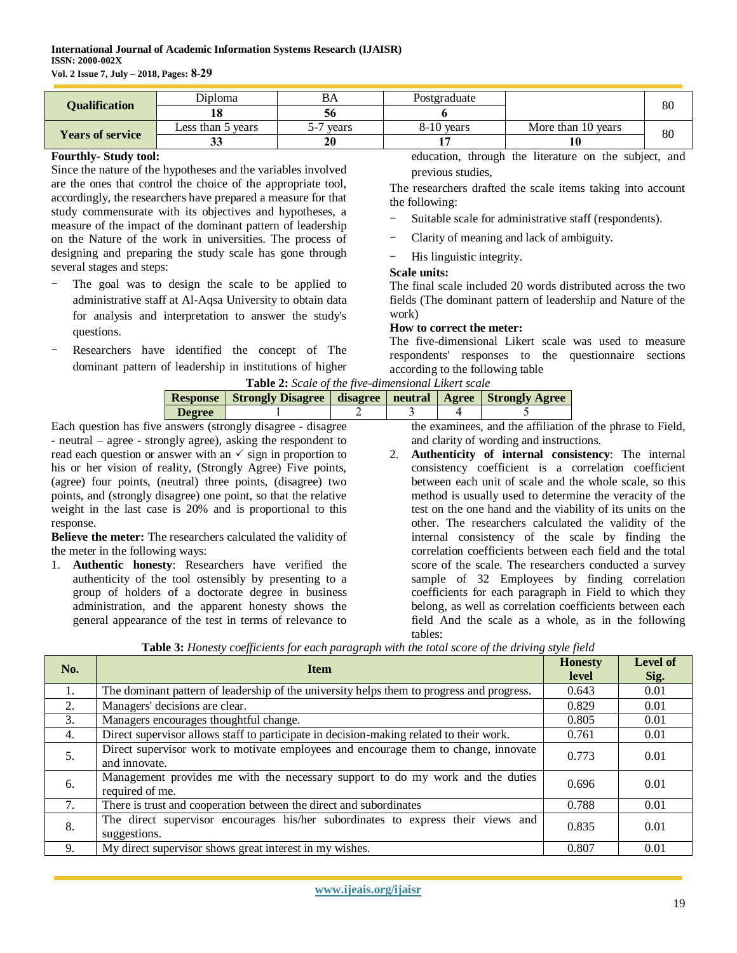| <b>Qualification</b>    | <b>Diploma</b>    | BA    | Postgraduate |                    | 80 |  |
|-------------------------|-------------------|-------|--------------|--------------------|----|--|
|                         |                   |       |              |                    |    |  |
|                         | Less than 5 years | vears | $8-10$ vears | More than 10 years | 80 |  |
| <b>Years of service</b> | ບບ                | 20    |              |                    |    |  |

#### **Fourthly- Study tool:**

Since the nature of the hypotheses and the variables involved are the ones that control the choice of the appropriate tool, accordingly, the researchers have prepared a measure for that study commensurate with its objectives and hypotheses, a measure of the impact of the dominant pattern of leadership on the Nature of the work in universities. The process of designing and preparing the study scale has gone through several stages and steps:

- The goal was to design the scale to be applied to administrative staff at Al-Aqsa University to obtain data for analysis and interpretation to answer the study's questions.
- Researchers have identified the concept of The dominant pattern of leadership in institutions of higher

education, through the literature on the subject, and previous studies,

The researchers drafted the scale items taking into account the following:

- Suitable scale for administrative staff (respondents).
- Clarity of meaning and lack of ambiguity.

His linguistic integrity.

#### **Scale units:**

The final scale included 20 words distributed across the two fields (The dominant pattern of leadership and Nature of the work)

#### **How to correct the meter:**

The five-dimensional Likert scale was used to measure respondents' responses to the questionnaire sections according to the following table

| <b>Table 2:</b> Scale of the five-dimensional Likert scale |                                                                            |  |                                     |  |  |  |  |  |
|------------------------------------------------------------|----------------------------------------------------------------------------|--|-------------------------------------|--|--|--|--|--|
|                                                            | Response   Strongly Disagree   disagree   neutral   Agree   Strongly Agree |  |                                     |  |  |  |  |  |
| <b>Degree</b>                                              |                                                                            |  |                                     |  |  |  |  |  |
| neware (etropoly disagree) disagree                        |                                                                            |  | the examiness and the affiliation c |  |  |  |  |  |

Each question has five answers (strongly disagree - disagree - neutral – agree - strongly agree), asking the respondent to read each question or answer with an  $\checkmark$  sign in proportion to his or her vision of reality, (Strongly Agree) Five points, (agree) four points, (neutral) three points, (disagree) two points, and (strongly disagree) one point, so that the relative weight in the last case is 20% and is proportional to this response.

**Believe the meter:** The researchers calculated the validity of the meter in the following ways:

1. **Authentic honesty**: Researchers have verified the authenticity of the tool ostensibly by presenting to a group of holders of a doctorate degree in business administration, and the apparent honesty shows the general appearance of the test in terms of relevance to

the examinees, and the affiliation of the phrase to Field, and clarity of wording and instructions.

2. **Authenticity of internal consistency**: The internal consistency coefficient is a correlation coefficient between each unit of scale and the whole scale, so this method is usually used to determine the veracity of the test on the one hand and the viability of its units on the other. The researchers calculated the validity of the internal consistency of the scale by finding the correlation coefficients between each field and the total score of the scale. The researchers conducted a survey sample of 32 Employees by finding correlation coefficients for each paragraph in Field to which they belong, as well as correlation coefficients between each field And the scale as a whole, as in the following tables:

| No. | <b>Item</b>                                                                                          | <b>Honesty</b><br>level | Level of<br>Sig. |
|-----|------------------------------------------------------------------------------------------------------|-------------------------|------------------|
| 1.  | The dominant pattern of leadership of the university helps them to progress and progress.            | 0.643                   | 0.01             |
| 2.  | Managers' decisions are clear.                                                                       | 0.829                   | 0.01             |
| 3.  | Managers encourages thoughtful change.                                                               | 0.805                   | 0.01             |
| 4.  | Direct supervisor allows staff to participate in decision-making related to their work.              | 0.761                   | 0.01             |
| 5.  | Direct supervisor work to motivate employees and encourage them to change, innovate<br>and innovate. | 0.773                   | 0.01             |
| 6.  | Management provides me with the necessary support to do my work and the duties<br>required of me.    | 0.696                   | 0.01             |
| 7.  | There is trust and cooperation between the direct and subordinates                                   | 0.788                   | 0.01             |
| 8.  | The direct supervisor encourages his/her subordinates to express their views and<br>suggestions.     | 0.835                   | 0.01             |
| 9.  | My direct supervisor shows great interest in my wishes.                                              | 0.807                   | 0.01             |

**Table 3:** *Honesty coefficients for each paragraph with the total score of the driving style field*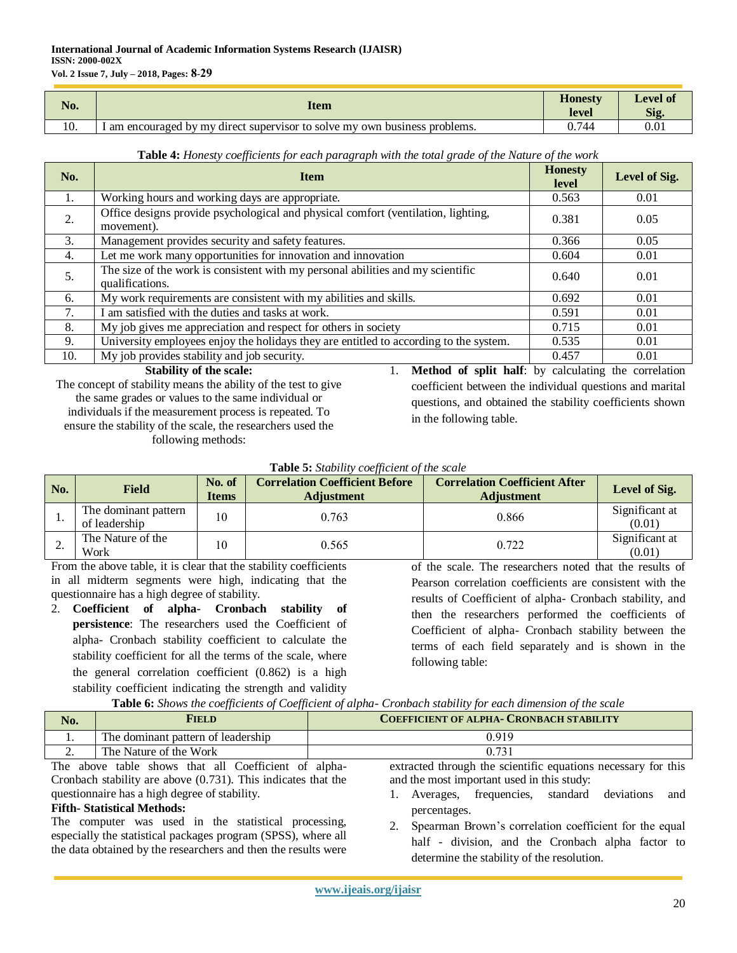#### **International Journal of Academic Information Systems Research (IJAISR) ISSN: 2000-002X Vol. 2 Issue 7, July – 2018, Pages: 8-92**

| No. | Item                                                                       | <b>Honesty</b><br>level | <b>Level of</b><br>Sig |
|-----|----------------------------------------------------------------------------|-------------------------|------------------------|
| 10. | I am encouraged by my direct supervisor to solve my own business problems. | 0.744                   | $0.01\,$               |

| Table 4: Honesty coefficients for each paragraph with the total grade of the Nature of the work |
|-------------------------------------------------------------------------------------------------|
|-------------------------------------------------------------------------------------------------|

| No. | <b>Item</b>                                                                                        | <b>Honesty</b><br>level | Level of Sig. |
|-----|----------------------------------------------------------------------------------------------------|-------------------------|---------------|
| 1.  | Working hours and working days are appropriate.                                                    | 0.563                   | 0.01          |
| 2.  | Office designs provide psychological and physical comfort (ventilation, lighting,<br>movement).    | 0.381                   | 0.05          |
| 3.  | Management provides security and safety features.                                                  | 0.366                   | 0.05          |
| 4.  | Let me work many opportunities for innovation and innovation                                       | 0.604                   | 0.01          |
| 5.  | The size of the work is consistent with my personal abilities and my scientific<br>qualifications. | 0.640                   | 0.01          |
| 6.  | My work requirements are consistent with my abilities and skills.                                  | 0.692                   | 0.01          |
| 7.  | I am satisfied with the duties and tasks at work.                                                  | 0.591                   | 0.01          |
| 8.  | My job gives me appreciation and respect for others in society                                     | 0.715                   | 0.01          |
| 9.  | University employees enjoy the holidays they are entitled to according to the system.              | 0.535                   | 0.01          |
| 10. | My job provides stability and job security.                                                        | 0.457                   | 0.01          |

**Stability of the scale:** The concept of stability means the ability of the test to give the same grades or values to the same individual or individuals if the measurement process is repeated. To ensure the stability of the scale, the researchers used the following methods:

1. **Method of split half**: by calculating the correlation coefficient between the individual questions and marital questions, and obtained the stability coefficients shown in the following table.

#### **Table 5:** *Stability coefficient of the scale*

| No.       | <b>Field</b>                          | No. of<br><b>Items</b> | <b>Correlation Coefficient Before</b><br><b>Adjustment</b> | <b>Correlation Coefficient After</b><br><b>Adjustment</b> | Level of Sig.            |
|-----------|---------------------------------------|------------------------|------------------------------------------------------------|-----------------------------------------------------------|--------------------------|
| . .       | The dominant pattern<br>of leadership | 10                     | 0.763                                                      | 0.866                                                     | Significant at<br>(0.01) |
| <u>L.</u> | The Nature of the<br>Work             | 10                     | 0.565                                                      | 0.722                                                     | Significant at<br>(0.01) |

From the above table, it is clear that the stability coefficients in all midterm segments were high, indicating that the questionnaire has a high degree of stability.

2. **Coefficient of alpha- Cronbach stability of persistence**: The researchers used the Coefficient of alpha- Cronbach stability coefficient to calculate the stability coefficient for all the terms of the scale, where the general correlation coefficient (0.862) is a high stability coefficient indicating the strength and validity

of the scale. The researchers noted that the results of Pearson correlation coefficients are consistent with the results of Coefficient of alpha- Cronbach stability, and then the researchers performed the coefficients of Coefficient of alpha- Cronbach stability between the terms of each field separately and is shown in the following table:

**Table 6:** *Shows the coefficients of Coefficient of alpha- Cronbach stability for each dimension of the scale*

| No.                                                                                                                   | Field                              | <b>COEFFICIENT OF ALPHA- CRONBACH STABILITY</b> |  |  |  |  |
|-----------------------------------------------------------------------------------------------------------------------|------------------------------------|-------------------------------------------------|--|--|--|--|
|                                                                                                                       | The dominant pattern of leadership | 0.919                                           |  |  |  |  |
| ـ.                                                                                                                    | The Nature of the Work             | 0.731                                           |  |  |  |  |
| extracted through the scientific equations necessary for this<br>The above table shows that all Coefficient of alpha- |                                    |                                                 |  |  |  |  |

The above table shows that all Coefficient of alpha-Cronbach stability are above (0.731). This indicates that the questionnaire has a high degree of stability.

# **Fifth- Statistical Methods:**

The computer was used in the statistical processing, especially the statistical packages program (SPSS), where all the data obtained by the researchers and then the results were

percentages. 2. Spearman Brown's correlation coefficient for the equal half - division, and the Cronbach alpha factor to determine the stability of the resolution.

1. Averages, frequencies, standard deviations and

and the most important used in this study: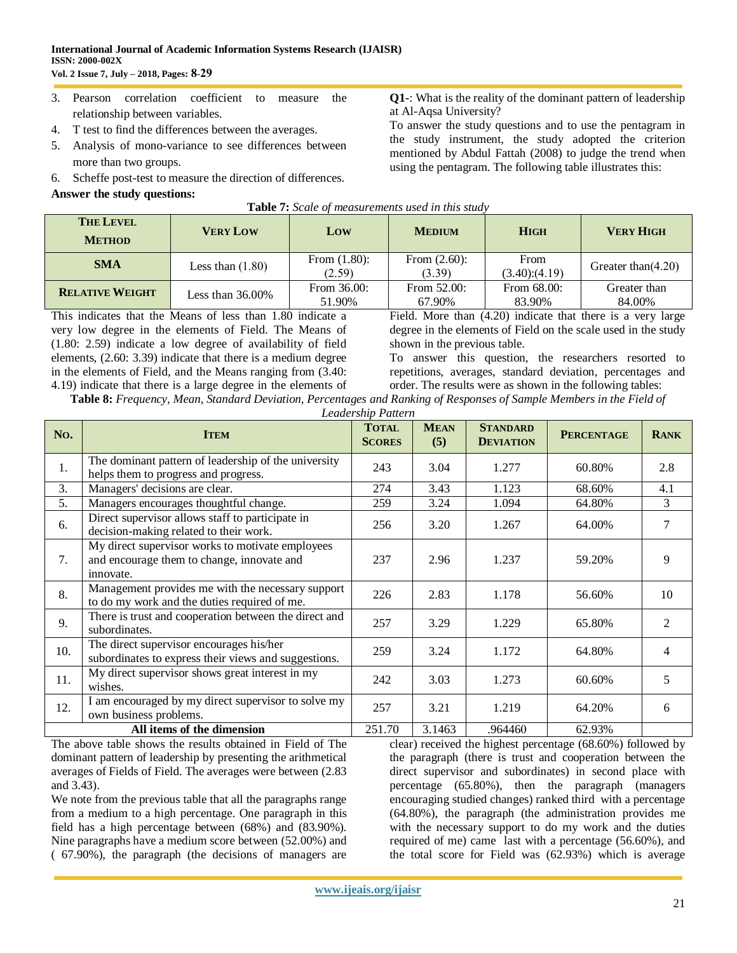- 3. Pearson correlation coefficient to measure the relationship between variables.
- 4. T test to find the differences between the averages.
- 5. Analysis of mono-variance to see differences between more than two groups.
- 6. Scheffe post-test to measure the direction of differences.

#### **Answer the study questions:**

**Q1-**: What is the reality of the dominant pattern of leadership at Al-Aqsa University?

To answer the study questions and to use the pentagram in the study instrument, the study adopted the criterion mentioned by Abdul Fattah (2008) to judge the trend when using the pentagram. The following table illustrates this:

| <b>Table 7:</b> Scale of measurements used in this study |                     |                           |                           |                       |                        |  |  |  |  |
|----------------------------------------------------------|---------------------|---------------------------|---------------------------|-----------------------|------------------------|--|--|--|--|
| <b>THE LEVEL</b><br><b>METHOD</b>                        | <b>VERY LOW</b>     | Low                       | <b>MEDIUM</b>             | <b>HIGH</b>           | <b>VERY HIGH</b>       |  |  |  |  |
| <b>SMA</b>                                               | Less than $(1.80)$  | From $(1.80)$ :<br>(2.59) | From $(2.60)$ :<br>(3.39) | From<br>(3.40)(4.19)  | Greater than $(4.20)$  |  |  |  |  |
| <b>RELATIVE WEIGHT</b>                                   | Less than $36.00\%$ | From 36.00:<br>51.90%     | From $52.00$ :<br>67.90%  | From 68.00:<br>83.90% | Greater than<br>84.00% |  |  |  |  |

This indicates that the Means of less than 1.80 indicate a very low degree in the elements of Field. The Means of (1.80: 2.59) indicate a low degree of availability of field elements, (2.60: 3.39) indicate that there is a medium degree in the elements of Field, and the Means ranging from (3.40: 4.19) indicate that there is a large degree in the elements of Field. More than (4.20) indicate that there is a very large degree in the elements of Field on the scale used in the study shown in the previous table.

To answer this question, the researchers resorted to repetitions, averages, standard deviation, percentages and order. The results were as shown in the following tables:

| Table 8: Frequency, Mean, Standard Deviation, Percentages and Ranking of Responses of Sample Members in the Field of |                               |  |  |  |
|----------------------------------------------------------------------------------------------------------------------|-------------------------------|--|--|--|
|                                                                                                                      | $\mathbf{r}$ iii $\mathbf{r}$ |  |  |  |

| Leadership Pattern |  |  |
|--------------------|--|--|
|--------------------|--|--|

| No. | <b>ITEM</b>                                                                                                 | <b>TOTAL</b><br><b>SCORES</b> | <b>MEAN</b><br>(5) | <b>STANDARD</b><br><b>DEVIATION</b> | <b>PERCENTAGE</b> | <b>RANK</b>   |
|-----|-------------------------------------------------------------------------------------------------------------|-------------------------------|--------------------|-------------------------------------|-------------------|---------------|
| 1.  | The dominant pattern of leadership of the university<br>helps them to progress and progress.                | 243                           | 3.04               | 1.277                               | 60.80%            | 2.8           |
| 3.  | Managers' decisions are clear.                                                                              | 274                           | 3.43               | 1.123                               | 68.60%            | 4.1           |
| 5.  | Managers encourages thoughtful change.                                                                      | 259                           | 3.24               | 1.094                               | 64.80%            | 3             |
| 6.  | Direct supervisor allows staff to participate in<br>decision-making related to their work.                  | 256                           | 3.20               | 1.267                               | 64.00%            | 7             |
| 7.  | My direct supervisor works to motivate employees<br>and encourage them to change, innovate and<br>innovate. | 237                           | 2.96               | 1.237                               | 59.20%            | 9             |
| 8.  | Management provides me with the necessary support<br>to do my work and the duties required of me.           | 226                           | 2.83               | 1.178                               | 56.60%            | 10            |
| 9.  | There is trust and cooperation between the direct and<br>subordinates.                                      | 257                           | 3.29               | 1.229                               | 65.80%            | $\mathcal{L}$ |
| 10. | The direct supervisor encourages his/her<br>subordinates to express their views and suggestions.            | 259                           | 3.24               | 1.172                               | 64.80%            | 4             |
| 11. | My direct supervisor shows great interest in my<br>wishes.                                                  | 242                           | 3.03               | 1.273                               | 60.60%            | 5             |
| 12. | I am encouraged by my direct supervisor to solve my<br>own business problems.                               | 257                           | 3.21               | 1.219                               | 64.20%            | 6             |
|     | All items of the dimension                                                                                  | 251.70                        | 3.1463             | .964460                             | 62.93%            |               |

The above table shows the results obtained in Field of The dominant pattern of leadership by presenting the arithmetical averages of Fields of Field. The averages were between (2.83 and 3.43).

We note from the previous table that all the paragraphs range from a medium to a high percentage. One paragraph in this field has a high percentage between (68%) and (83.90%). Nine paragraphs have a medium score between (52.00%) and ( 67.90%), the paragraph (the decisions of managers are

clear) received the highest percentage (68.60%) followed by the paragraph (there is trust and cooperation between the direct supervisor and subordinates) in second place with percentage (65.80%), then the paragraph (managers encouraging studied changes) ranked third with a percentage (64.80%), the paragraph (the administration provides me with the necessary support to do my work and the duties required of me) came last with a percentage (56.60%), and the total score for Field was (62.93%) which is average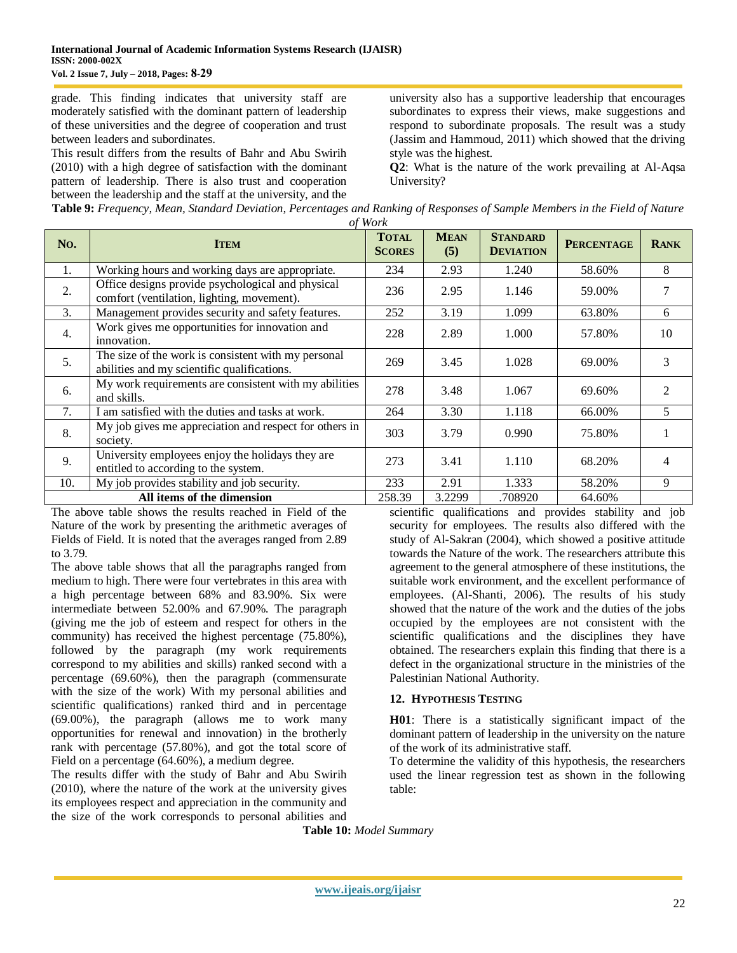grade. This finding indicates that university staff are moderately satisfied with the dominant pattern of leadership of these universities and the degree of cooperation and trust between leaders and subordinates.

This result differs from the results of Bahr and Abu Swirih (2010) with a high degree of satisfaction with the dominant pattern of leadership. There is also trust and cooperation between the leadership and the staff at the university, and the

university also has a supportive leadership that encourages subordinates to express their views, make suggestions and respond to subordinate proposals. The result was a study (Jassim and Hammoud, 2011) which showed that the driving style was the highest.

**Q2**: What is the nature of the work prevailing at Al-Aqsa University?

**Table 9:** *Frequency, Mean, Standard Deviation, Percentages and Ranking of Responses of Sample Members in the Field of Nature of Work*

| No. | <b>ITEM</b>                                                                                        | <b>TOTAL</b><br><b>SCORES</b> | <b>MEAN</b><br>(5) | <b>STANDARD</b><br><b>DEVIATION</b> | <b>PERCENTAGE</b> | <b>RANK</b>                 |
|-----|----------------------------------------------------------------------------------------------------|-------------------------------|--------------------|-------------------------------------|-------------------|-----------------------------|
| 1.  | Working hours and working days are appropriate.                                                    | 234                           | 2.93               | 1.240                               | 58.60%            | 8                           |
| 2.  | Office designs provide psychological and physical<br>comfort (ventilation, lighting, movement).    | 236                           | 2.95               | 1.146                               | 59.00%            |                             |
| 3.  | Management provides security and safety features.                                                  | 252                           | 3.19               | 1.099                               | 63.80%            | 6                           |
| 4.  | Work gives me opportunities for innovation and<br>innovation.                                      | 228                           | 2.89               | 1.000                               | 57.80%            | 10                          |
| 5.  | The size of the work is consistent with my personal<br>abilities and my scientific qualifications. | 269                           | 3.45               | 1.028                               | 69.00%            | 3                           |
| 6.  | My work requirements are consistent with my abilities<br>and skills.                               | 278                           | 3.48               | 1.067                               | 69.60%            | $\mathcal{D}_{\mathcal{L}}$ |
| 7.  | I am satisfied with the duties and tasks at work.                                                  | 264                           | 3.30               | 1.118                               | 66.00%            | 5.                          |
| 8.  | My job gives me appreciation and respect for others in<br>society.                                 | 303                           | 3.79               | 0.990                               | 75.80%            |                             |
| 9.  | University employees enjoy the holidays they are<br>entitled to according to the system.           | 273                           | 3.41               | 1.110                               | 68.20%            | 4                           |
| 10. | My job provides stability and job security.                                                        | 233                           | 2.91               | 1.333                               | 58.20%            | 9                           |
|     | All items of the dimension                                                                         | 258.39                        | 3.2299             | .708920                             | 64.60%            |                             |

The above table shows the results reached in Field of the Nature of the work by presenting the arithmetic averages of Fields of Field. It is noted that the averages ranged from 2.89 to 3.79.

The above table shows that all the paragraphs ranged from medium to high. There were four vertebrates in this area with a high percentage between 68% and 83.90%. Six were intermediate between 52.00% and 67.90%. The paragraph (giving me the job of esteem and respect for others in the community) has received the highest percentage (75.80%), followed by the paragraph (my work requirements correspond to my abilities and skills) ranked second with a percentage (69.60%), then the paragraph (commensurate with the size of the work) With my personal abilities and scientific qualifications) ranked third and in percentage (69.00%), the paragraph (allows me to work many opportunities for renewal and innovation) in the brotherly rank with percentage (57.80%), and got the total score of Field on a percentage (64.60%), a medium degree.

The results differ with the study of Bahr and Abu Swirih (2010), where the nature of the work at the university gives its employees respect and appreciation in the community and the size of the work corresponds to personal abilities and

scientific qualifications and provides stability and job security for employees. The results also differed with the study of Al-Sakran (2004), which showed a positive attitude towards the Nature of the work. The researchers attribute this agreement to the general atmosphere of these institutions, the suitable work environment, and the excellent performance of employees. (Al-Shanti, 2006). The results of his study showed that the nature of the work and the duties of the jobs occupied by the employees are not consistent with the scientific qualifications and the disciplines they have obtained. The researchers explain this finding that there is a defect in the organizational structure in the ministries of the Palestinian National Authority.

#### **12. HYPOTHESIS TESTING**

**H01**: There is a statistically significant impact of the dominant pattern of leadership in the university on the nature of the work of its administrative staff.

To determine the validity of this hypothesis, the researchers used the linear regression test as shown in the following table:

**Table 10:** *Model Summary*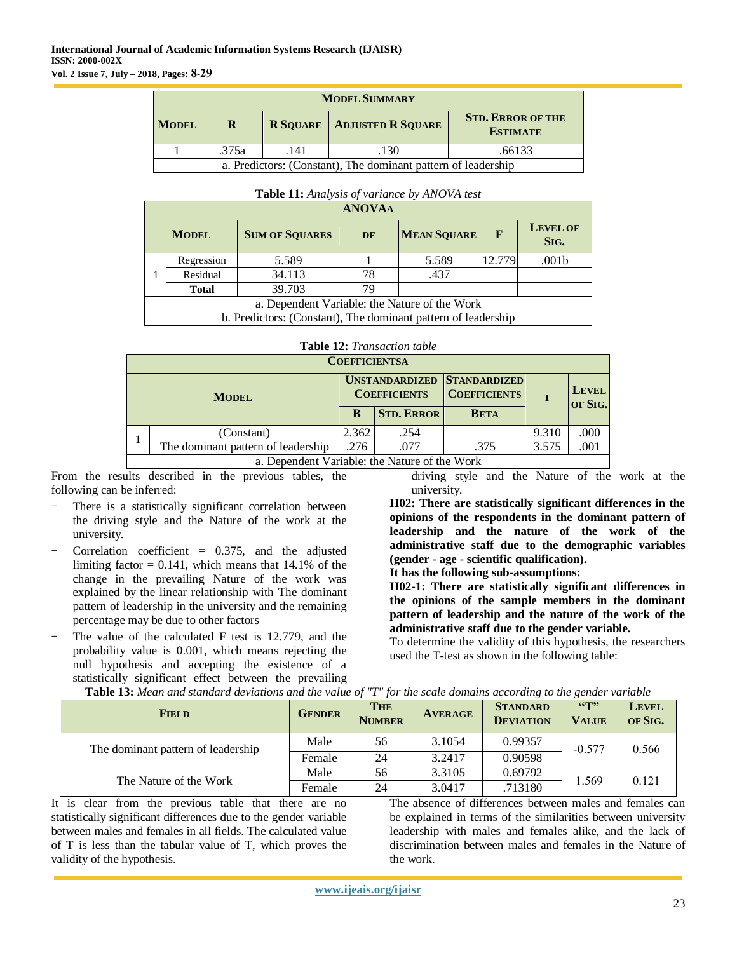|                                                               | <b>MODEL SUMMARY</b>            |  |                                     |                                             |  |  |  |  |
|---------------------------------------------------------------|---------------------------------|--|-------------------------------------|---------------------------------------------|--|--|--|--|
| <b>MODEL</b>                                                  | R                               |  | <b>R SQUARE   ADJUSTED R SQUARE</b> | <b>STD. ERROR OF THE</b><br><b>ESTIMATE</b> |  |  |  |  |
|                                                               | .375a<br>.66133<br>.130<br>.141 |  |                                     |                                             |  |  |  |  |
| a. Predictors: (Constant), The dominant pattern of leadership |                                 |  |                                     |                                             |  |  |  |  |

|                                               | <b>Lable 11:</b> Analysis <i>of variance by ANOVA lest</i> |                                                               |    |                    |        |                         |  |  |
|-----------------------------------------------|------------------------------------------------------------|---------------------------------------------------------------|----|--------------------|--------|-------------------------|--|--|
|                                               | <b>ANOVAA</b>                                              |                                                               |    |                    |        |                         |  |  |
|                                               | <b>MODEL</b>                                               | <b>SUM OF SQUARES</b>                                         | DF | <b>MEAN SQUARE</b> | F      | <b>LEVEL OF</b><br>SIG. |  |  |
|                                               | Regression                                                 | 5.589                                                         |    | 5.589              | 12.779 | .001 <sub>b</sub>       |  |  |
|                                               | Residual                                                   | 34.113                                                        | 78 | .437               |        |                         |  |  |
|                                               | <b>Total</b>                                               | 39.703                                                        | 79 |                    |        |                         |  |  |
| a. Dependent Variable: the Nature of the Work |                                                            |                                                               |    |                    |        |                         |  |  |
|                                               |                                                            | b. Predictors: (Constant), The dominant pattern of leadership |    |                    |        |                         |  |  |

# **Table 11:** *Analysis of variance by ANOVA test*

#### **Table 12:** *Transaction table*

|                                               | <b>COEFFICIENTSA</b> |                     |                                                           |       |                         |
|-----------------------------------------------|----------------------|---------------------|-----------------------------------------------------------|-------|-------------------------|
| <b>MODEL</b>                                  |                      | <b>COEFFICIENTS</b> | <b>UNSTANDARDIZED STANDARDIZED</b><br><b>COEFFICIENTS</b> |       | <b>LEVEL</b><br>OF SIG. |
|                                               | B                    | <b>STD. ERROR</b>   | <b>BETA</b>                                               |       |                         |
| (Constant)                                    | 2.362                | .254                |                                                           | 9.310 | .000                    |
| The dominant pattern of leadership            | .276                 | .077                | .375                                                      | 3.575 | .001                    |
| a. Dependent Variable: the Nature of the Work |                      |                     |                                                           |       |                         |

From the results described in the previous tables, the following can be inferred:

- There is a statistically significant correlation between the driving style and the Nature of the work at the university.
- Correlation coefficient  $= 0.375$ , and the adjusted limiting factor  $= 0.141$ , which means that 14.1% of the change in the prevailing Nature of the work was explained by the linear relationship with The dominant pattern of leadership in the university and the remaining percentage may be due to other factors
- The value of the calculated  $F$  test is 12.779, and the probability value is 0.001, which means rejecting the null hypothesis and accepting the existence of a statistically significant effect between the prevailing **Table 13:** *Mean and standard deviations and the value of "T" for the scale domains according to the gender variable*

driving style and the Nature of the work at the university.

**H02: There are statistically significant differences in the opinions of the respondents in the dominant pattern of leadership and the nature of the work of the administrative staff due to the demographic variables (gender - age - scientific qualification).**

**It has the following sub-assumptions:**

**H02-1: There are statistically significant differences in the opinions of the sample members in the dominant pattern of leadership and the nature of the work of the administrative staff due to the gender variable.**

To determine the validity of this hypothesis, the researchers used the T-test as shown in the following table:

| <b>FIELD</b>                       | <b>GENDER</b> | <b>THE</b><br><b>NUMBER</b> | <b>AVERAGE</b> | <b>STANDARD</b><br><b>DEVIATION</b> | $\mathbf{G}$<br><b>VALUE</b> | <b>LEVEL</b><br>OF SIG. |
|------------------------------------|---------------|-----------------------------|----------------|-------------------------------------|------------------------------|-------------------------|
| The dominant pattern of leadership | Male          | 56                          | 3.1054         | 0.99357                             | $-0.577$                     | 0.566                   |
|                                    | Female        | 24                          | 3.2417         | 0.90598                             |                              |                         |
|                                    | Male          | 56                          | 3.3105         | 0.69792                             |                              | 0.121                   |
| The Nature of the Work             | Female        | 24                          | 3.0417         | .713180                             | 1.569                        |                         |

It is clear from the previous table that there are no statistically significant differences due to the gender variable between males and females in all fields. The calculated value of T is less than the tabular value of T, which proves the

validity of the hypothesis.

The absence of differences between males and females can be explained in terms of the similarities between university leadership with males and females alike, and the lack of discrimination between males and females in the Nature of the work.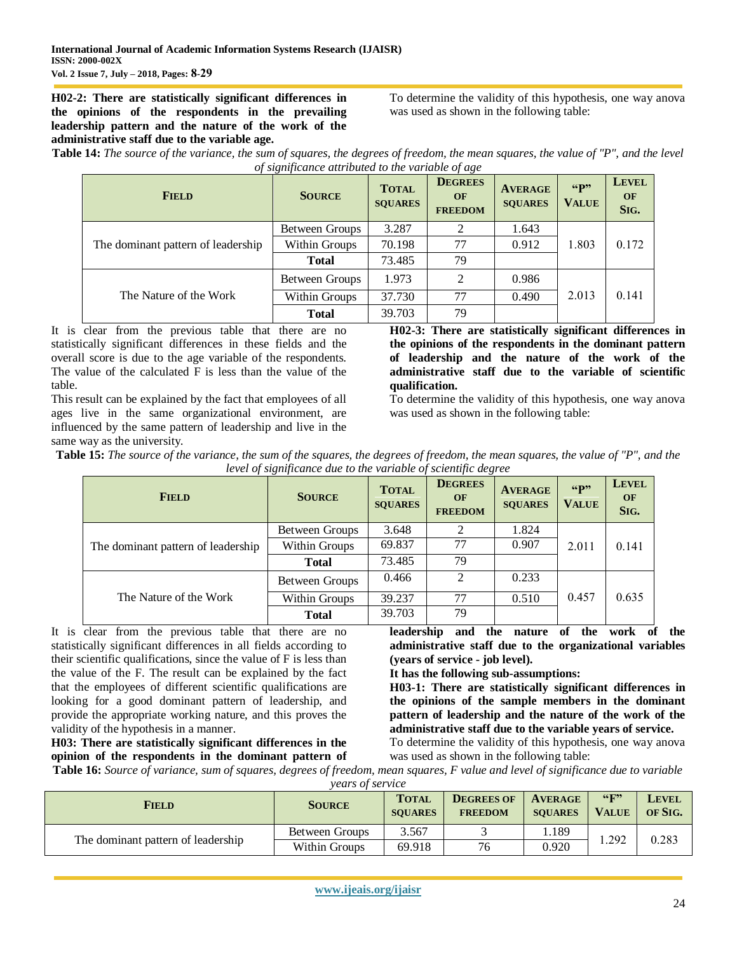**H02-2: There are statistically significant differences in the opinions of the respondents in the prevailing leadership pattern and the nature of the work of the administrative staff due to the variable age.**

To determine the validity of this hypothesis, one way anova was used as shown in the following table:

**Table 14:** *The source of the variance, the sum of squares, the degrees of freedom, the mean squares, the value of "P", and the level of significance attributed to the variable of age*

| <b>FIELD</b>                       | <b>SOURCE</b>  | <b>TOTAL</b><br><b>SQUARES</b> | <b>DEGREES</b><br>OF<br><b>FREEDOM</b> | <b>AVERAGE</b><br><b>SQUARES</b> | 66 <sup>p</sup><br><b>VALUE</b> | <b>LEVEL</b><br><b>OF</b><br>SIG. |
|------------------------------------|----------------|--------------------------------|----------------------------------------|----------------------------------|---------------------------------|-----------------------------------|
|                                    | Between Groups | 3.287                          | ∍                                      | 1.643                            |                                 |                                   |
| The dominant pattern of leadership | Within Groups  | 70.198                         | 77                                     | 0.912                            | 1.803                           | 0.172                             |
|                                    | <b>Total</b>   | 73.485                         | 79                                     |                                  |                                 |                                   |
|                                    | Between Groups | 1.973                          | 2                                      | 0.986                            |                                 |                                   |
| The Nature of the Work             | Within Groups  | 37.730                         | 77                                     | 0.490                            | 2.013                           | 0.141                             |
|                                    | <b>Total</b>   | 39.703                         | 79                                     |                                  |                                 |                                   |

It is clear from the previous table that there are no statistically significant differences in these fields and the overall score is due to the age variable of the respondents. The value of the calculated F is less than the value of the table.

This result can be explained by the fact that employees of all ages live in the same organizational environment, are influenced by the same pattern of leadership and live in the same way as the university.

**H02-3: There are statistically significant differences in the opinions of the respondents in the dominant pattern of leadership and the nature of the work of the administrative staff due to the variable of scientific qualification.**

To determine the validity of this hypothesis, one way anova was used as shown in the following table:

**Table 15:** *The source of the variance, the sum of the squares, the degrees of freedom, the mean squares, the value of "P", and the level of significance due to the variable of scientific degree*

| <b>FIELD</b>                       | <b>SOURCE</b>  | <b>TOTAL</b><br><b>SQUARES</b> | <b>DEGREES</b><br><b>OF</b><br><b>FREEDOM</b> | <b>AVERAGE</b><br><b>SQUARES</b> | "p"<br><b>VALUE</b> | <b>LEVEL</b><br>OF<br>SIG. |
|------------------------------------|----------------|--------------------------------|-----------------------------------------------|----------------------------------|---------------------|----------------------------|
| The dominant pattern of leadership | Between Groups | 3.648                          |                                               | 1.824                            |                     |                            |
|                                    | Within Groups  | 69.837                         | 77                                            | 0.907                            | 2.011               | 0.141                      |
|                                    | <b>Total</b>   | 73.485                         | 79                                            |                                  |                     |                            |
|                                    | Between Groups | 0.466                          | C                                             | 0.233                            |                     |                            |
| The Nature of the Work             | Within Groups  | 39.237                         | 77                                            | 0.510                            | 0.457               | 0.635                      |
|                                    | <b>Total</b>   | 39.703                         | 79                                            |                                  |                     |                            |

It is clear from the previous table that there are no statistically significant differences in all fields according to their scientific qualifications, since the value of F is less than the value of the F. The result can be explained by the fact that the employees of different scientific qualifications are looking for a good dominant pattern of leadership, and provide the appropriate working nature, and this proves the validity of the hypothesis in a manner.

**H03: There are statistically significant differences in the opinion of the respondents in the dominant pattern of** 

**leadership and the nature of the work of the administrative staff due to the organizational variables (years of service - job level).**

**It has the following sub-assumptions:**

**H03-1: There are statistically significant differences in the opinions of the sample members in the dominant pattern of leadership and the nature of the work of the administrative staff due to the variable years of service.**

To determine the validity of this hypothesis, one way anova was used as shown in the following table:

**Table 16:** *Source of variance, sum of squares, degrees of freedom, mean squares, F value and level of significance due to variable years of service*

| <b>FIELD</b>                       | <b>SOURCE</b>  | <b>TOTAL</b><br><b>SOUARES</b> | <b>DEGREES OF</b><br><b>FREEDOM</b> | <b>AVERAGE</b><br><b>SOUARES</b> | 66F<br><b>VALUE</b> | Level<br>OF SIG. |
|------------------------------------|----------------|--------------------------------|-------------------------------------|----------------------------------|---------------------|------------------|
|                                    | Between Groups | 3.567                          |                                     | 1.189                            | .292                | 0.283            |
| The dominant pattern of leadership | Within Groups  | 69.918                         | 76                                  | 0.920                            |                     |                  |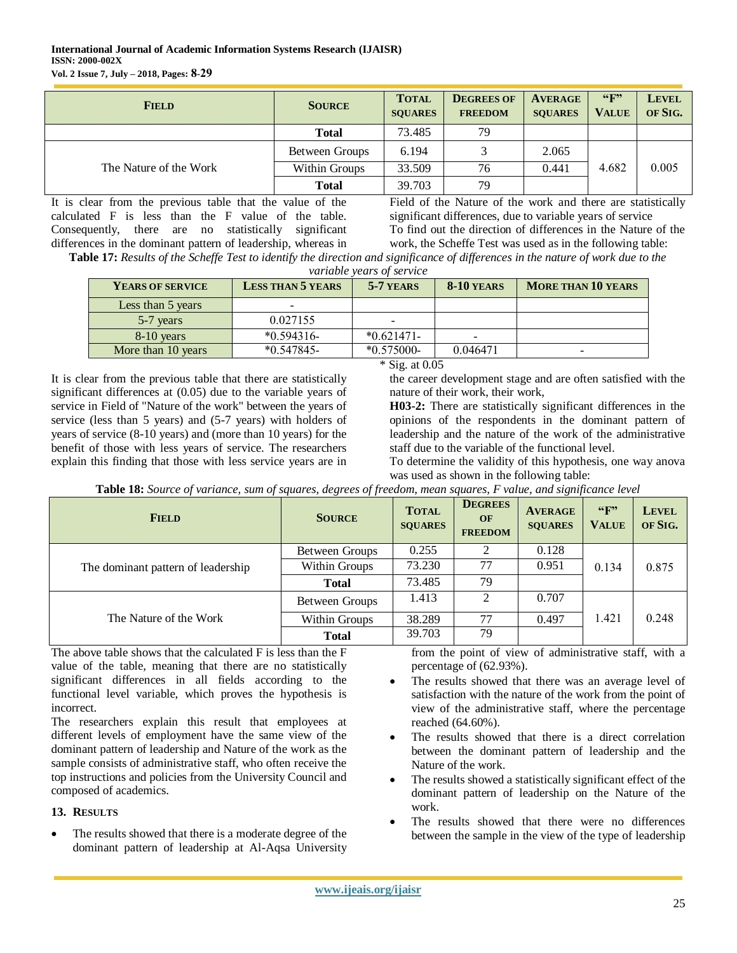| <b>FIELD</b>           | <b>SOURCE</b>  | <b>TOTAL</b><br><b>SOUARES</b> | <b>DEGREES OF</b><br><b>FREEDOM</b> | <b>AVERAGE</b><br><b>SOUARES</b> | $\mathbf{G}$ <sup>39</sup><br><b>VALUE</b> | <b>LEVEL</b><br>OF SIG. |
|------------------------|----------------|--------------------------------|-------------------------------------|----------------------------------|--------------------------------------------|-------------------------|
|                        | <b>Total</b>   | 73.485                         | 79                                  |                                  |                                            |                         |
|                        | Between Groups | 6.194                          |                                     | 2.065                            |                                            |                         |
| The Nature of the Work | Within Groups  | 33.509                         | 76                                  | 0.441                            | 4.682                                      | 0.005                   |
|                        | <b>Total</b>   | 39.703                         | 79                                  |                                  |                                            |                         |

It is clear from the previous table that the value of the calculated F is less than the F value of the table. Consequently, there are no statistically significant differences in the dominant pattern of leadership, whereas in Field of the Nature of the work and there are statistically significant differences, due to variable years of service To find out the direction of differences in the Nature of the work, the Scheffe Test was used as in the following table:

**Table 17:** *Results of the Scheffe Test to identify the direction and significance of differences in the nature of work due to the variable years of service*

| YEARS OF SERVICE   | <b>LESS THAN 5 YEARS</b> | 5-7 YEARS    | 8-10 YEARS               | <b>MORE THAN 10 YEARS</b> |
|--------------------|--------------------------|--------------|--------------------------|---------------------------|
| Less than 5 years  | -                        |              |                          |                           |
| 5-7 years          | 0.027155                 |              |                          |                           |
| $8-10$ years       | $*0.594316-$             | $*0.621471-$ | $\overline{\phantom{0}}$ |                           |
| More than 10 years | $*0.547845-$             | $*0.575000-$ | 0.046471                 | $\qquad \qquad$           |

It is clear from the previous table that there are statistically significant differences at (0.05) due to the variable years of service in Field of "Nature of the work" between the years of service (less than 5 years) and (5-7 years) with holders of years of service (8-10 years) and (more than 10 years) for the benefit of those with less years of service. The researchers explain this finding that those with less service years are in

\* Sig. at 0.05

the career development stage and are often satisfied with the nature of their work, their work,

**H03-2:** There are statistically significant differences in the opinions of the respondents in the dominant pattern of leadership and the nature of the work of the administrative staff due to the variable of the functional level.

To determine the validity of this hypothesis, one way anova was used as shown in the following table:

| Table 18: Source of variance, sum of squares, degrees of freedom, mean squares, F value, and significance level |  |  |
|-----------------------------------------------------------------------------------------------------------------|--|--|
|                                                                                                                 |  |  |
|                                                                                                                 |  |  |

| <b>FIELD</b>                       | <b>SOURCE</b>         | <b>TOTAL</b><br><b>SOUARES</b> | <b>DEGREES</b><br>OF<br><b>FREEDOM</b> | <b>AVERAGE</b><br><b>SOUARES</b> | $\mathbf{G}$ <sup>39</sup><br><b>VALUE</b> | <b>LEVEL</b><br>OF SIG. |
|------------------------------------|-----------------------|--------------------------------|----------------------------------------|----------------------------------|--------------------------------------------|-------------------------|
| The dominant pattern of leadership | Between Groups        | 0.255                          |                                        | 0.128                            | 0.134                                      | 0.875                   |
|                                    | Within Groups         | 73.230                         | 77                                     | 0.951                            |                                            |                         |
|                                    | <b>Total</b>          | 73.485                         | 79                                     |                                  |                                            |                         |
| The Nature of the Work             | <b>Between Groups</b> | 1.413                          | $\mathcal{D}$                          | 0.707                            | 1.421                                      | 0.248                   |
|                                    | Within Groups         | 38.289                         | 77                                     | 0.497                            |                                            |                         |
|                                    | <b>Total</b>          | 39.703                         | 79                                     |                                  |                                            |                         |

The above table shows that the calculated F is less than the F value of the table, meaning that there are no statistically significant differences in all fields according to the functional level variable, which proves the hypothesis is incorrect.

The researchers explain this result that employees at different levels of employment have the same view of the dominant pattern of leadership and Nature of the work as the sample consists of administrative staff, who often receive the top instructions and policies from the University Council and composed of academics.

# **13. RESULTS**

• The results showed that there is a moderate degree of the dominant pattern of leadership at Al-Aqsa University

from the point of view of administrative staff, with a percentage of (62.93%).

- The results showed that there was an average level of satisfaction with the nature of the work from the point of view of the administrative staff, where the percentage reached (64.60%).
- The results showed that there is a direct correlation between the dominant pattern of leadership and the Nature of the work.
- The results showed a statistically significant effect of the dominant pattern of leadership on the Nature of the work.
- The results showed that there were no differences between the sample in the view of the type of leadership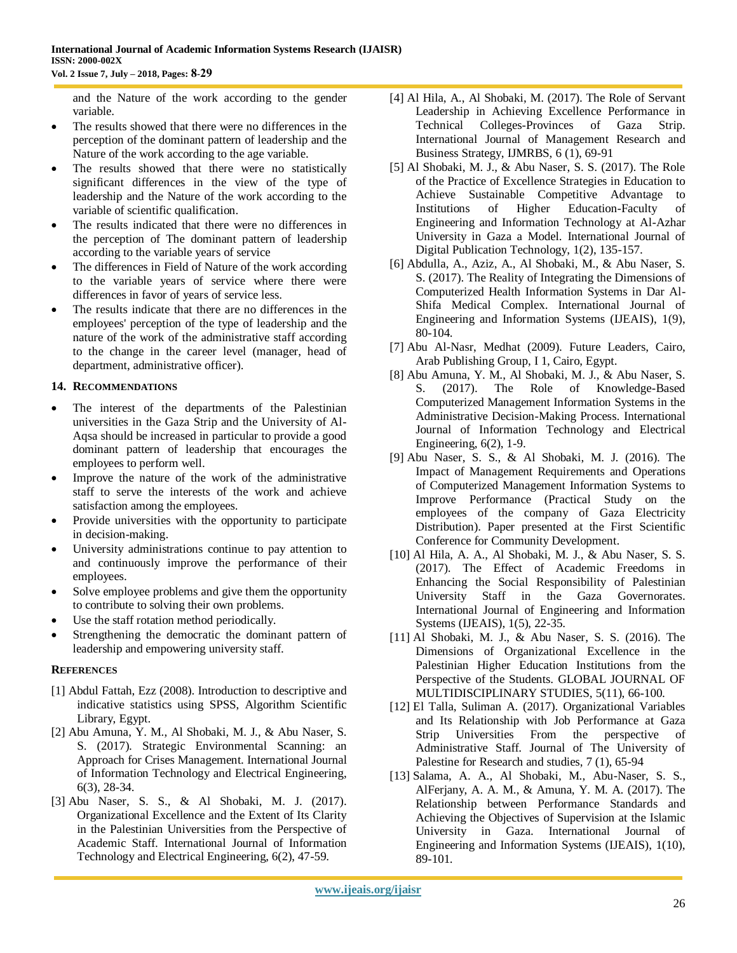and the Nature of the work according to the gender variable.

- The results showed that there were no differences in the perception of the dominant pattern of leadership and the Nature of the work according to the age variable.
- The results showed that there were no statistically significant differences in the view of the type of leadership and the Nature of the work according to the variable of scientific qualification.
- The results indicated that there were no differences in the perception of The dominant pattern of leadership according to the variable years of service
- The differences in Field of Nature of the work according to the variable years of service where there were differences in favor of years of service less.
- The results indicate that there are no differences in the employees' perception of the type of leadership and the nature of the work of the administrative staff according to the change in the career level (manager, head of department, administrative officer).

## **14. RECOMMENDATIONS**

- The interest of the departments of the Palestinian universities in the Gaza Strip and the University of Al-Aqsa should be increased in particular to provide a good dominant pattern of leadership that encourages the employees to perform well.
- Improve the nature of the work of the administrative staff to serve the interests of the work and achieve satisfaction among the employees.
- Provide universities with the opportunity to participate in decision-making.
- University administrations continue to pay attention to and continuously improve the performance of their employees.
- Solve employee problems and give them the opportunity to contribute to solving their own problems.
- Use the staff rotation method periodically.
- Strengthening the democratic the dominant pattern of leadership and empowering university staff.

#### **REFERENCES**

- [1] Abdul Fattah, Ezz (2008). Introduction to descriptive and indicative statistics using SPSS, Algorithm Scientific Library, Egypt.
- [2] Abu Amuna, Y. M., Al Shobaki, M. J., & Abu Naser, S. S. (2017). Strategic Environmental Scanning: an Approach for Crises Management. International Journal of Information Technology and Electrical Engineering, 6(3), 28-34.
- [3] Abu Naser, S. S., & Al Shobaki, M. J. (2017). Organizational Excellence and the Extent of Its Clarity in the Palestinian Universities from the Perspective of Academic Staff. International Journal of Information Technology and Electrical Engineering, 6(2), 47-59.
- [4] Al Hila, A., Al Shobaki, M. (2017). The Role of Servant Leadership in Achieving Excellence Performance in Technical Colleges-Provinces of Gaza Strip. International Journal of Management Research and Business Strategy, IJMRBS, 6 (1), 69-91
- [5] Al Shobaki, M. J., & Abu Naser, S. S. (2017). The Role of the Practice of Excellence Strategies in Education to Achieve Sustainable Competitive Advantage to Institutions of Higher Education-Faculty of Engineering and Information Technology at Al-Azhar University in Gaza a Model. International Journal of Digital Publication Technology, 1(2), 135-157.
- [6] Abdulla, A., Aziz, A., Al Shobaki, M., & Abu Naser, S. S. (2017). The Reality of Integrating the Dimensions of Computerized Health Information Systems in Dar Al-Shifa Medical Complex. International Journal of Engineering and Information Systems (IJEAIS), 1(9), 80-104.
- [7] Abu Al-Nasr, Medhat (2009). Future Leaders, Cairo, Arab Publishing Group, I 1, Cairo, Egypt.
- [8] Abu Amuna, Y. M., Al Shobaki, M. J., & Abu Naser, S. S. (2017). The Role of Knowledge-Based Computerized Management Information Systems in the Administrative Decision-Making Process. International Journal of Information Technology and Electrical Engineering, 6(2), 1-9.
- [9] Abu Naser, S. S., & Al Shobaki, M. J. (2016). The Impact of Management Requirements and Operations of Computerized Management Information Systems to Improve Performance (Practical Study on the employees of the company of Gaza Electricity Distribution). Paper presented at the First Scientific Conference for Community Development.
- [10] Al Hila, A. A., Al Shobaki, M. J., & Abu Naser, S. S. (2017). The Effect of Academic Freedoms in Enhancing the Social Responsibility of Palestinian University Staff in the Gaza Governorates. International Journal of Engineering and Information Systems (IJEAIS), 1(5), 22-35.
- [11] Al Shobaki, M. J., & Abu Naser, S. S. (2016). The Dimensions of Organizational Excellence in the Palestinian Higher Education Institutions from the Perspective of the Students. GLOBAL JOURNAL OF MULTIDISCIPLINARY STUDIES, 5(11), 66-100.
- [12] El Talla, Suliman A. (2017). Organizational Variables and Its Relationship with Job Performance at Gaza Strip Universities From the perspective of Administrative Staff. Journal of The University of Palestine for Research and studies, 7 (1), 65-94
- [13] Salama, A. A., Al Shobaki, M., Abu-Naser, S. S., AlFerjany, A. A. M., & Amuna, Y. M. A. (2017). The Relationship between Performance Standards and Achieving the Objectives of Supervision at the Islamic University in Gaza. International Journal of Engineering and Information Systems (IJEAIS), 1(10), 89-101.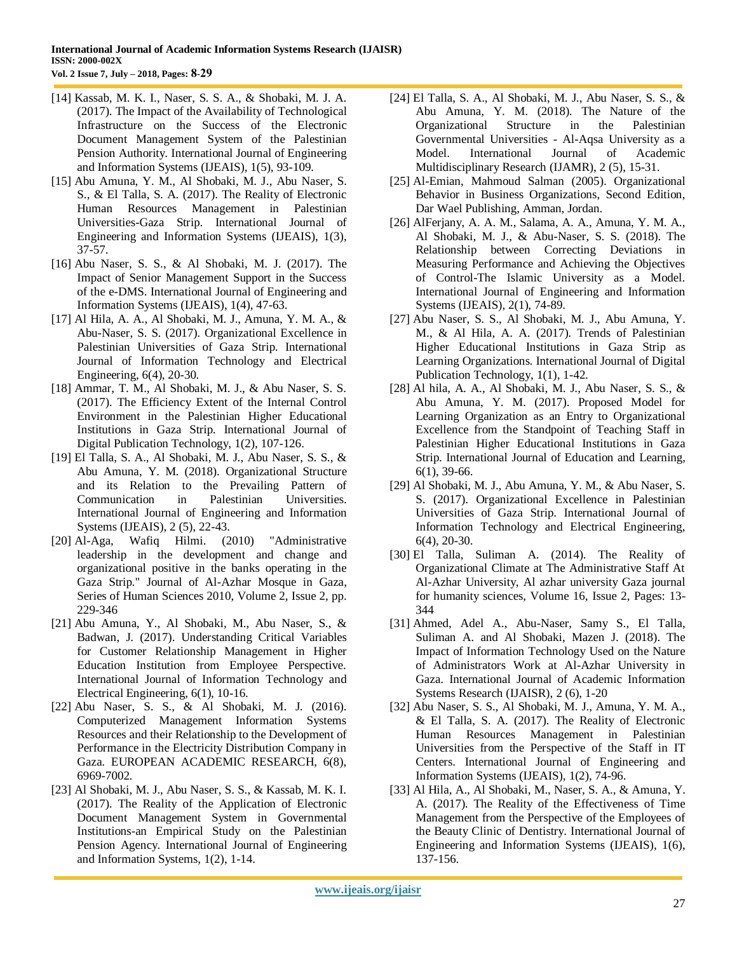- [14] Kassab, M. K. I., Naser, S. S. A., & Shobaki, M. J. A. (2017). The Impact of the Availability of Technological Infrastructure on the Success of the Electronic Document Management System of the Palestinian Pension Authority. International Journal of Engineering and Information Systems (IJEAIS), 1(5), 93-109.
- [15] Abu Amuna, Y. M., Al Shobaki, M. J., Abu Naser, S. S., & El Talla, S. A. (2017). The Reality of Electronic Human Resources Management in Palestinian Universities-Gaza Strip. International Journal of Engineering and Information Systems (IJEAIS), 1(3), 37-57.
- [16] Abu Naser, S. S., & Al Shobaki, M. J. (2017). The Impact of Senior Management Support in the Success of the e-DMS. International Journal of Engineering and Information Systems (IJEAIS), 1(4), 47-63.
- [17] Al Hila, A. A., Al Shobaki, M. J., Amuna, Y. M. A., & Abu-Naser, S. S. (2017). Organizational Excellence in Palestinian Universities of Gaza Strip. International Journal of Information Technology and Electrical Engineering, 6(4), 20-30.
- [18] Ammar, T. M., Al Shobaki, M. J., & Abu Naser, S. S. (2017). The Efficiency Extent of the Internal Control Environment in the Palestinian Higher Educational Institutions in Gaza Strip. International Journal of Digital Publication Technology, 1(2), 107-126.
- [19] El Talla, S. A., Al Shobaki, M. J., Abu Naser, S. S., & Abu Amuna, Y. M. (2018). Organizational Structure and its Relation to the Prevailing Pattern of Communication in Palestinian Universities. International Journal of Engineering and Information Systems (IJEAIS), 2 (5), 22-43.
- [20] Al-Aga, Wafiq Hilmi. (2010) "Administrative leadership in the development and change and organizational positive in the banks operating in the Gaza Strip." Journal of Al-Azhar Mosque in Gaza, Series of Human Sciences 2010, Volume 2, Issue 2, pp. 229-346
- [21] Abu Amuna, Y., Al Shobaki, M., Abu Naser, S., & Badwan, J. (2017). Understanding Critical Variables for Customer Relationship Management in Higher Education Institution from Employee Perspective. International Journal of Information Technology and Electrical Engineering, 6(1), 10-16.
- [22] Abu Naser, S. S., & Al Shobaki, M. J. (2016). Computerized Management Information Systems Resources and their Relationship to the Development of Performance in the Electricity Distribution Company in Gaza. EUROPEAN ACADEMIC RESEARCH, 6(8), 6969-7002.
- [23] Al Shobaki, M. J., Abu Naser, S. S., & Kassab, M. K. I. (2017). The Reality of the Application of Electronic Document Management System in Governmental Institutions-an Empirical Study on the Palestinian Pension Agency. International Journal of Engineering and Information Systems, 1(2), 1-14.
- [24] El Talla, S. A., Al Shobaki, M. J., Abu Naser, S. S., & Abu Amuna, Y. M. (2018). The Nature of the Organizational Structure in the Palestinian Governmental Universities - Al-Aqsa University as a Model. International Journal of Academic Multidisciplinary Research (IJAMR), 2 (5), 15-31.
- [25] Al-Emian, Mahmoud Salman (2005). Organizational Behavior in Business Organizations, Second Edition, Dar Wael Publishing, Amman, Jordan.
- [26] AlFerjany, A. A. M., Salama, A. A., Amuna, Y. M. A., Al Shobaki, M. J., & Abu-Naser, S. S. (2018). The Relationship between Correcting Deviations in Measuring Performance and Achieving the Objectives of Control-The Islamic University as a Model. International Journal of Engineering and Information Systems (IJEAIS), 2(1), 74-89.
- [27] Abu Naser, S. S., Al Shobaki, M. J., Abu Amuna, Y. M., & Al Hila, A. A. (2017). Trends of Palestinian Higher Educational Institutions in Gaza Strip as Learning Organizations. International Journal of Digital Publication Technology, 1(1), 1-42.
- [28] Al hila, A. A., Al Shobaki, M. J., Abu Naser, S. S., & Abu Amuna, Y. M. (2017). Proposed Model for Learning Organization as an Entry to Organizational Excellence from the Standpoint of Teaching Staff in Palestinian Higher Educational Institutions in Gaza Strip. International Journal of Education and Learning, 6(1), 39-66.
- [29] Al Shobaki, M. J., Abu Amuna, Y. M., & Abu Naser, S. S. (2017). Organizational Excellence in Palestinian Universities of Gaza Strip. International Journal of Information Technology and Electrical Engineering, 6(4), 20-30.
- [30] El Talla, Suliman A. (2014). The Reality of Organizational Climate at The Administrative Staff At Al-Azhar University, Al azhar university Gaza journal for humanity sciences, Volume 16, Issue 2, Pages: 13- 344
- [31] Ahmed, Adel A., Abu-Naser, Samy S., El Talla, Suliman A. and Al Shobaki, Mazen J. (2018). The Impact of Information Technology Used on the Nature of Administrators Work at Al-Azhar University in Gaza. International Journal of Academic Information Systems Research (IJAISR), 2 (6), 1-20
- [32] Abu Naser, S. S., Al Shobaki, M. J., Amuna, Y. M. A., & El Talla, S. A. (2017). The Reality of Electronic Human Resources Management in Palestinian Universities from the Perspective of the Staff in IT Centers. International Journal of Engineering and Information Systems (IJEAIS), 1(2), 74-96.
- [33] Al Hila, A., Al Shobaki, M., Naser, S. A., & Amuna, Y. A. (2017). The Reality of the Effectiveness of Time Management from the Perspective of the Employees of the Beauty Clinic of Dentistry. International Journal of Engineering and Information Systems (IJEAIS), 1(6), 137-156.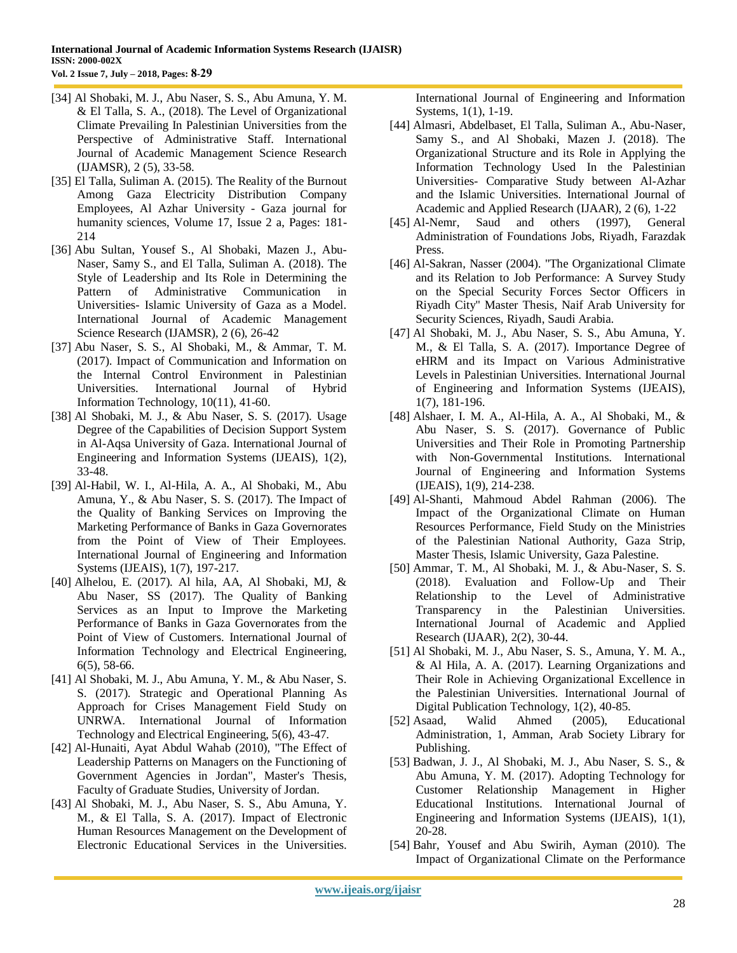- [34] Al Shobaki, M. J., Abu Naser, S. S., Abu Amuna, Y. M. & El Talla, S. A., (2018). The Level of Organizational Climate Prevailing In Palestinian Universities from the Perspective of Administrative Staff. International Journal of Academic Management Science Research (IJAMSR), 2 (5), 33-58.
- [35] El Talla, Suliman A. (2015). The Reality of the Burnout Among Gaza Electricity Distribution Company Employees, Al Azhar University - Gaza journal for humanity sciences, Volume 17, Issue 2 a, Pages: 181- 214
- [36] Abu Sultan, Yousef S., Al Shobaki, Mazen J., Abu-Naser, Samy S., and El Talla, Suliman A. (2018). The Style of Leadership and Its Role in Determining the Pattern of Administrative Communication in Universities- Islamic University of Gaza as a Model. International Journal of Academic Management Science Research (IJAMSR), 2 (6), 26-42
- [37] Abu Naser, S. S., Al Shobaki, M., & Ammar, T. M. (2017). Impact of Communication and Information on the Internal Control Environment in Palestinian Universities. International Journal of Hybrid Information Technology, 10(11), 41-60.
- [38] Al Shobaki, M. J., & Abu Naser, S. S. (2017). Usage Degree of the Capabilities of Decision Support System in Al-Aqsa University of Gaza. International Journal of Engineering and Information Systems (IJEAIS), 1(2), 33-48.
- [39] Al-Habil, W. I., Al-Hila, A. A., Al Shobaki, M., Abu Amuna, Y., & Abu Naser, S. S. (2017). The Impact of the Quality of Banking Services on Improving the Marketing Performance of Banks in Gaza Governorates from the Point of View of Their Employees. International Journal of Engineering and Information Systems (IJEAIS), 1(7), 197-217.
- [40] Alhelou, E. (2017). Al hila, AA, Al Shobaki, MJ, & Abu Naser, SS (2017). The Quality of Banking Services as an Input to Improve the Marketing Performance of Banks in Gaza Governorates from the Point of View of Customers. International Journal of Information Technology and Electrical Engineering, 6(5), 58-66.
- [41] Al Shobaki, M. J., Abu Amuna, Y. M., & Abu Naser, S. S. (2017). Strategic and Operational Planning As Approach for Crises Management Field Study on UNRWA. International Journal of Information Technology and Electrical Engineering, 5(6), 43-47.
- [42] Al-Hunaiti, Ayat Abdul Wahab (2010), "The Effect of Leadership Patterns on Managers on the Functioning of Government Agencies in Jordan", Master's Thesis, Faculty of Graduate Studies, University of Jordan.
- [43] Al Shobaki, M. J., Abu Naser, S. S., Abu Amuna, Y. M., & El Talla, S. A. (2017). Impact of Electronic Human Resources Management on the Development of Electronic Educational Services in the Universities.

International Journal of Engineering and Information Systems, 1(1), 1-19.

- [44] Almasri, Abdelbaset, El Talla, Suliman A., Abu-Naser, Samy S., and Al Shobaki, Mazen J. (2018). The Organizational Structure and its Role in Applying the Information Technology Used In the Palestinian Universities- Comparative Study between Al-Azhar and the Islamic Universities. International Journal of Academic and Applied Research (IJAAR), 2 (6), 1-22
- [45] Al-Nemr, Saud and others (1997), General Administration of Foundations Jobs, Riyadh, Farazdak Press.
- [46] Al-Sakran, Nasser (2004). "The Organizational Climate and its Relation to Job Performance: A Survey Study on the Special Security Forces Sector Officers in Riyadh City" Master Thesis, Naif Arab University for Security Sciences, Riyadh, Saudi Arabia.
- [47] Al Shobaki, M. J., Abu Naser, S. S., Abu Amuna, Y. M., & El Talla, S. A. (2017). Importance Degree of eHRM and its Impact on Various Administrative Levels in Palestinian Universities. International Journal of Engineering and Information Systems (IJEAIS), 1(7), 181-196.
- [48] Alshaer, I. M. A., Al-Hila, A. A., Al Shobaki, M., & Abu Naser, S. S. (2017). Governance of Public Universities and Their Role in Promoting Partnership with Non-Governmental Institutions. International Journal of Engineering and Information Systems (IJEAIS), 1(9), 214-238.
- [49] Al-Shanti, Mahmoud Abdel Rahman (2006). The Impact of the Organizational Climate on Human Resources Performance, Field Study on the Ministries of the Palestinian National Authority, Gaza Strip, Master Thesis, Islamic University, Gaza Palestine.
- [50] Ammar, T. M., Al Shobaki, M. J., & Abu-Naser, S. S. (2018). Evaluation and Follow-Up and Their Relationship to the Level of Administrative Transparency in the Palestinian Universities. International Journal of Academic and Applied Research (IJAAR), 2(2), 30-44.
- [51] Al Shobaki, M. J., Abu Naser, S. S., Amuna, Y. M. A., & Al Hila, A. A. (2017). Learning Organizations and Their Role in Achieving Organizational Excellence in the Palestinian Universities. International Journal of Digital Publication Technology, 1(2), 40-85.
- [52] Asaad, Walid Ahmed (2005), Educational Administration, 1, Amman, Arab Society Library for Publishing.
- [53] Badwan, J. J., Al Shobaki, M. J., Abu Naser, S. S., & Abu Amuna, Y. M. (2017). Adopting Technology for Customer Relationship Management in Higher Educational Institutions. International Journal of Engineering and Information Systems (IJEAIS), 1(1), 20-28.
- [54] Bahr, Yousef and Abu Swirih, Ayman (2010). The Impact of Organizational Climate on the Performance